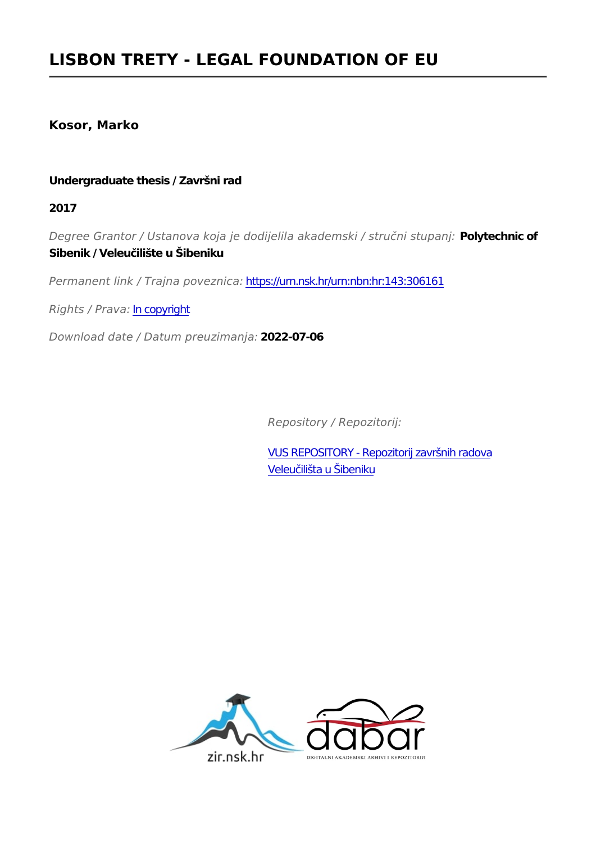# **Kosor, Marko**

# **Undergraduate thesis / Završni rad**

**2017**

*Degree Grantor / Ustanova koja je dodijelila akademski / stručni stupanj:* **Polytechnic of Sibenik / Veleučilište u Šibeniku**

*Permanent link / Trajna poveznica:* <https://urn.nsk.hr/urn:nbn:hr:143:306161>

*Rights / Prava:* [In copyright](http://rightsstatements.org/vocab/InC/1.0/)

*Download date / Datum preuzimanja:* **2022-07-06**

*Repository / Repozitorij:*

[VUS REPOSITORY - Repozitorij završnih radova](https://repozitorij.vus.hr) [Veleučilišta u Šibeniku](https://repozitorij.vus.hr)

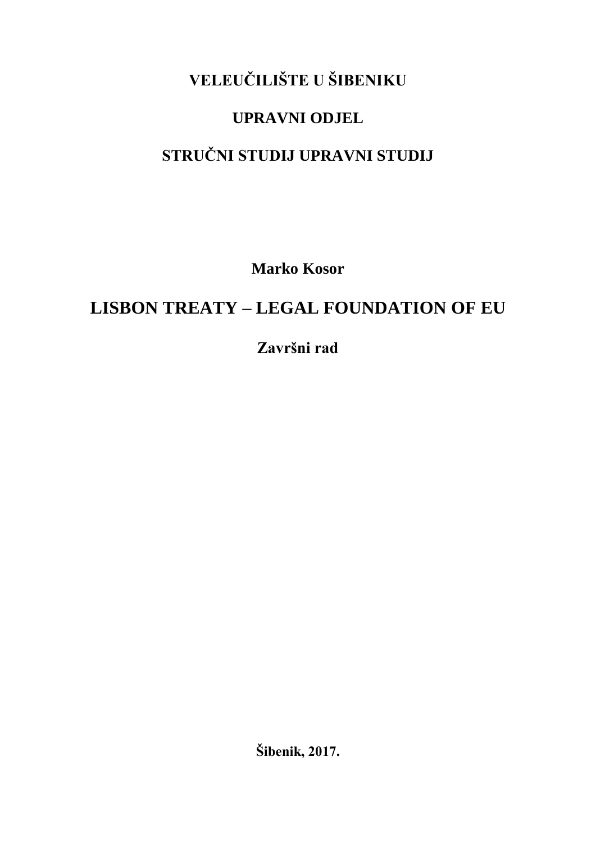# **VELEUČILIŠTE U ŠIBENIKU**

# **UPRAVNI ODJEL**

# **STRUČNI STUDIJ UPRAVNI STUDIJ**

**Marko Kosor**

# **LISBON TREATY – LEGAL FOUNDATION OF EU**

**Završni rad**

**Šibenik, 2017.**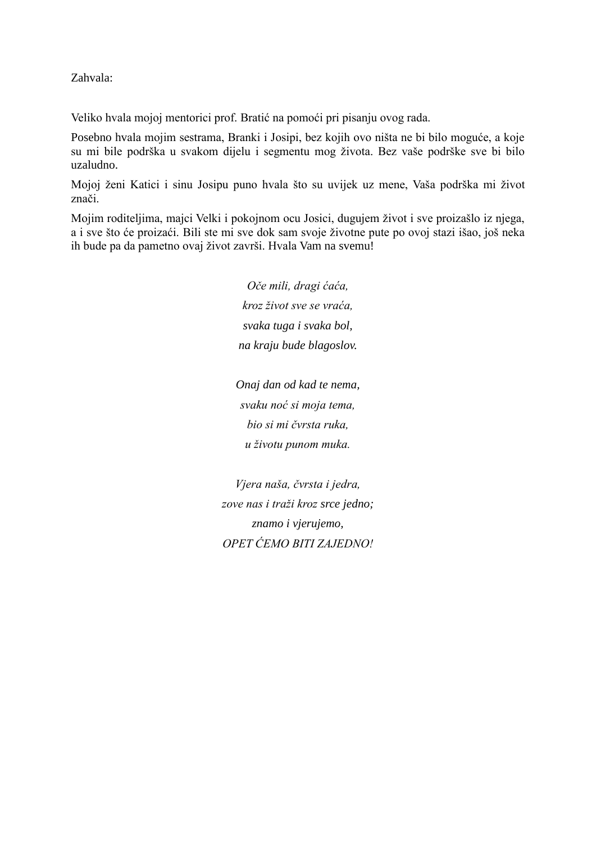Zahvala:

Veliko hvala mojoj mentorici prof. Bratić na pomoći pri pisanju ovog rada.

Posebno hvala mojim sestrama, Branki i Josipi, bez kojih ovo ništa ne bi bilo moguće, a koje su mi bile podrška u svakom dijelu i segmentu mog života. Bez vaše podrške sve bi bilo uzaludno.

Mojoj ženi Katici i sinu Josipu puno hvala što su uvijek uz mene, Vaša podrška mi život znači.

Mojim roditeljima, majci Velki i pokojnom ocu Josici, dugujem život i sve proizašlo iz njega, a i sve što će proizaći. Bili ste mi sve dok sam svoje životne pute po ovoj stazi išao, još neka ih bude pa da pametno ovaj život završi. Hvala Vam na svemu!

> *Oče mili, dragi ćaća, kroz život sve se vraća, svaka tuga i svaka bol, na kraju bude blagoslov.*

*Onaj dan od kad te nema, svaku noć si moja tema, bio si mi čvrsta ruka, u životu punom muka.*

*Vjera naša, čvrsta i jedra, zove nas i traži kroz srce jedno; znamo i vjerujemo, OPET ĆEMO BITI ZAJEDNO!*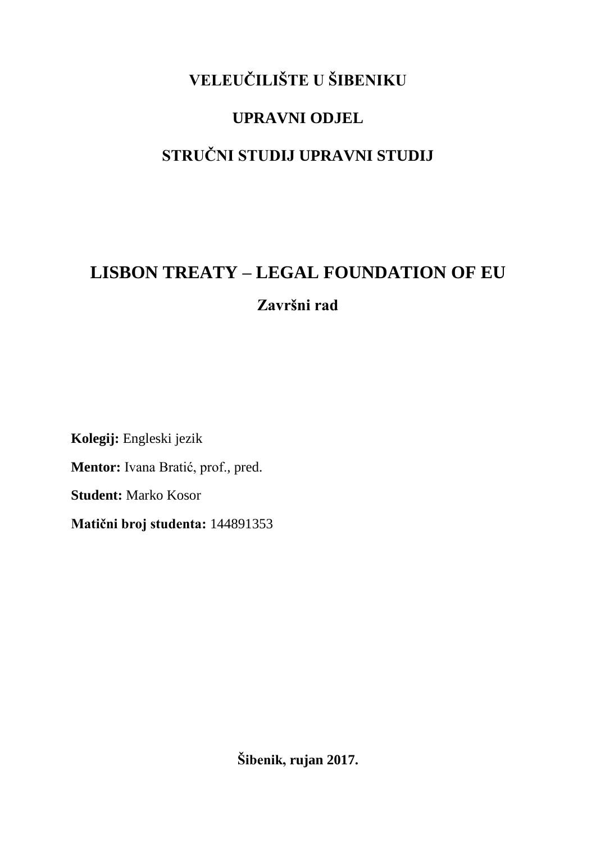# **VELEUČILIŠTE U ŠIBENIKU**

# **UPRAVNI ODJEL**

# **STRUČNI STUDIJ UPRAVNI STUDIJ**

# **LISBON TREATY – LEGAL FOUNDATION OF EU**

**Završni rad**

**Kolegij:** Engleski jezik **Mentor:** Ivana Bratić, prof., pred. **Student:** Marko Kosor **Matični broj studenta:** 144891353

**Šibenik, rujan 2017.**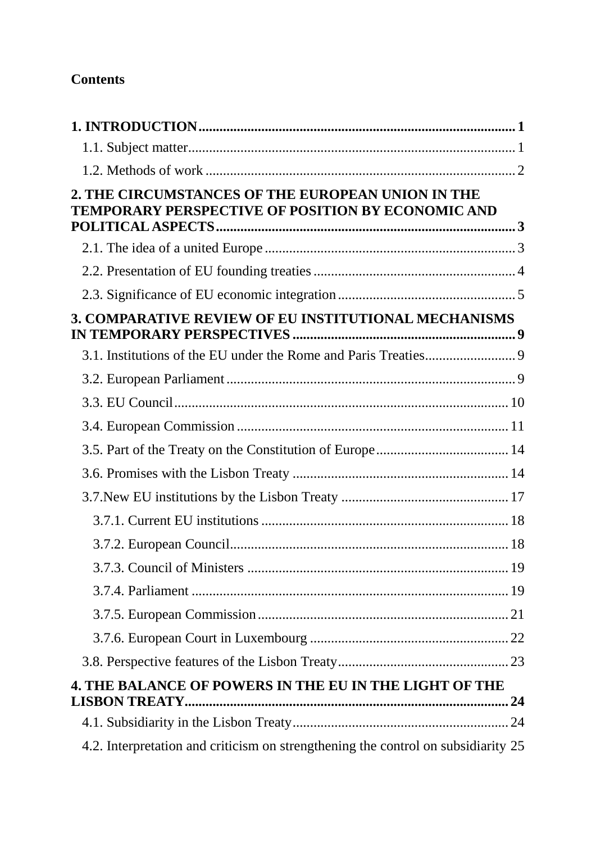# **Contents**

| 2. THE CIRCUMSTANCES OF THE EUROPEAN UNION IN THE<br>TEMPORARY PERSPECTIVE OF POSITION BY ECONOMIC AND |  |
|--------------------------------------------------------------------------------------------------------|--|
|                                                                                                        |  |
|                                                                                                        |  |
|                                                                                                        |  |
| 3. COMPARATIVE REVIEW OF EU INSTITUTIONAL MECHANISMS                                                   |  |
|                                                                                                        |  |
|                                                                                                        |  |
|                                                                                                        |  |
|                                                                                                        |  |
|                                                                                                        |  |
|                                                                                                        |  |
|                                                                                                        |  |
|                                                                                                        |  |
|                                                                                                        |  |
|                                                                                                        |  |
|                                                                                                        |  |
|                                                                                                        |  |
|                                                                                                        |  |
|                                                                                                        |  |
| 4. THE BALANCE OF POWERS IN THE EU IN THE LIGHT OF THE                                                 |  |
|                                                                                                        |  |
|                                                                                                        |  |
| 4.2. Interpretation and criticism on strengthening the control on subsidiarity 25                      |  |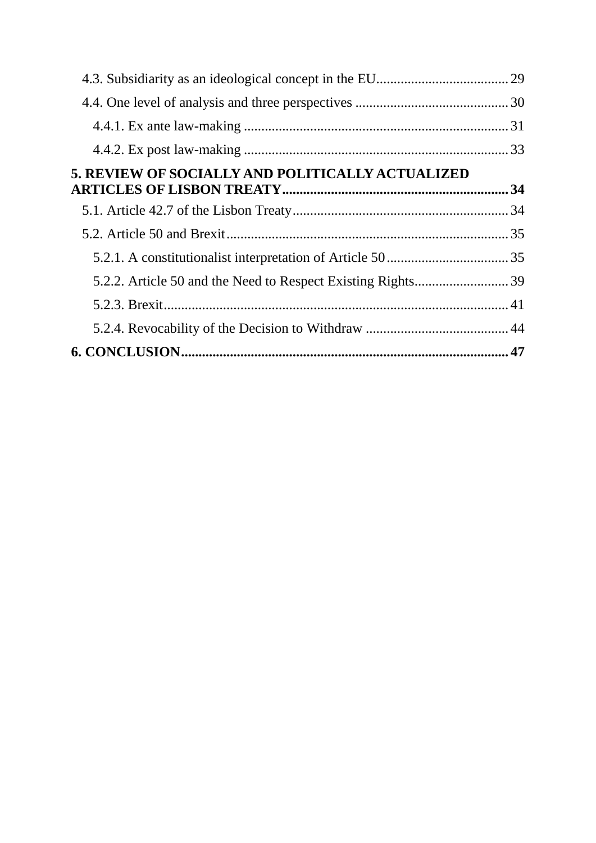| 5. REVIEW OF SOCIALLY AND POLITICALLY ACTUALIZED |  |
|--------------------------------------------------|--|
|                                                  |  |
|                                                  |  |
|                                                  |  |
|                                                  |  |
|                                                  |  |
|                                                  |  |
|                                                  |  |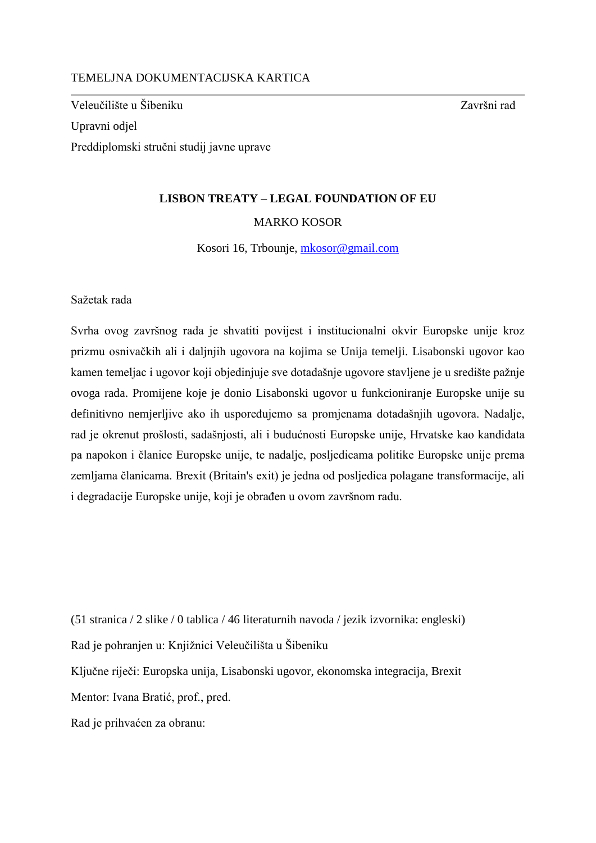### TEMELJNA DOKUMENTACIJSKA KARTICA

Veleučilište u Šibeniku Završni rad Upravni odjel Preddiplomski stručni studij javne uprave

# **LISBON TREATY – LEGAL FOUNDATION OF EU** MARKO KOSOR

Kosori 16, Trbounje, [mkosor@gmail.com](mailto:mkosor@gmail.com)

#### Sažetak rada

Svrha ovog završnog rada je shvatiti povijest i institucionalni okvir Europske unije kroz prizmu osnivačkih ali i daljnjih ugovora na kojima se Unija temelji. Lisabonski ugovor kao kamen temeljac i ugovor koji objedinjuje sve dotadašnje ugovore stavljene je u središte pažnje ovoga rada. Promijene koje je donio Lisabonski ugovor u funkcioniranje Europske unije su definitivno nemjerljive ako ih uspoređujemo sa promjenama dotadašnjih ugovora. Nadalje, rad je okrenut prošlosti, sadašnjosti, ali i budućnosti Europske unije, Hrvatske kao kandidata pa napokon i članice Europske unije, te nadalje, posljedicama politike Europske unije prema zemljama članicama. Brexit (Britain's exit) je jedna od posljedica polagane transformacije, ali i degradacije Europske unije, koji je obrađen u ovom završnom radu.

(51 stranica / 2 slike / 0 tablica / 46 literaturnih navoda / jezik izvornika: engleski)

Rad je pohranjen u: Knjižnici Veleučilišta u Šibeniku

Ključne riječi: Europska unija, Lisabonski ugovor, ekonomska integracija, Brexit

Mentor: Ivana Bratić, prof., pred.

Rad je prihvaćen za obranu: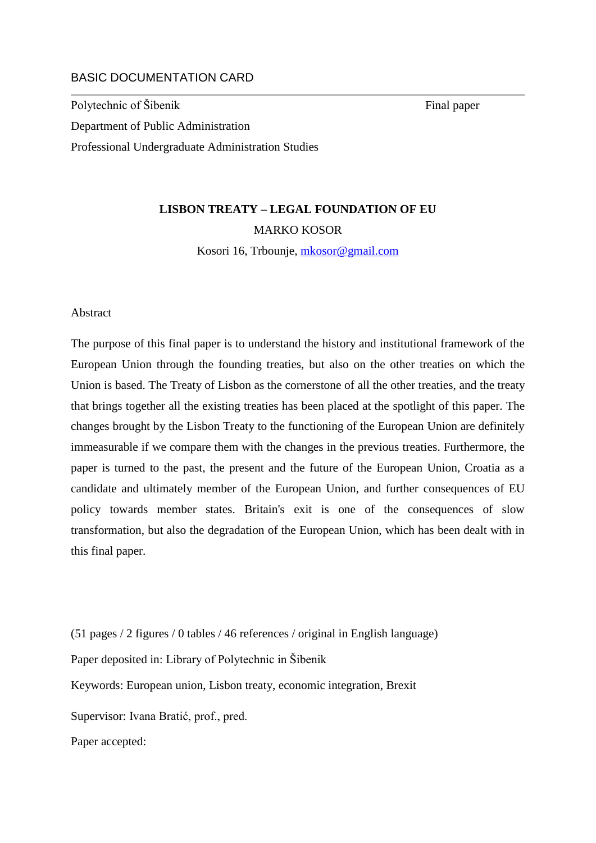# BASIC DOCUMENTATION CARD

<span id="page-7-1"></span><span id="page-7-0"></span>Polytechnic of Šibenik Final paper Department of Public Administration Professional Undergraduate Administration Studies

# **LISBON TREATY – LEGAL FOUNDATION OF EU** MARKO KOSOR Kosori 16, Trbounje, [mkosor@gmail.com](mailto:mkosor@gmail.com)

### Abstract

The purpose of this final paper is to understand the history and institutional framework of the European Union through the founding treaties, but also on the other treaties on which the Union is based. The Treaty of Lisbon as the cornerstone of all the other treaties, and the treaty that brings together all the existing treaties has been placed at the spotlight of this paper. The changes brought by the Lisbon Treaty to the functioning of the European Union are definitely immeasurable if we compare them with the changes in the previous treaties. Furthermore, the paper is turned to the past, the present and the future of the European Union, Croatia as a candidate and ultimately member of the European Union, and further consequences of EU policy towards member states. Britain's exit is one of the consequences of slow transformation, but also the degradation of the European Union, which has been dealt with in this final paper.

(51 pages / 2 figures / 0 tables / 46 references / original in English language) Paper deposited in: Library of Polytechnic in Šibenik Keywords: European union, Lisbon treaty, economic integration, Brexit Supervisor: Ivana Bratić, prof., pred. Paper accepted: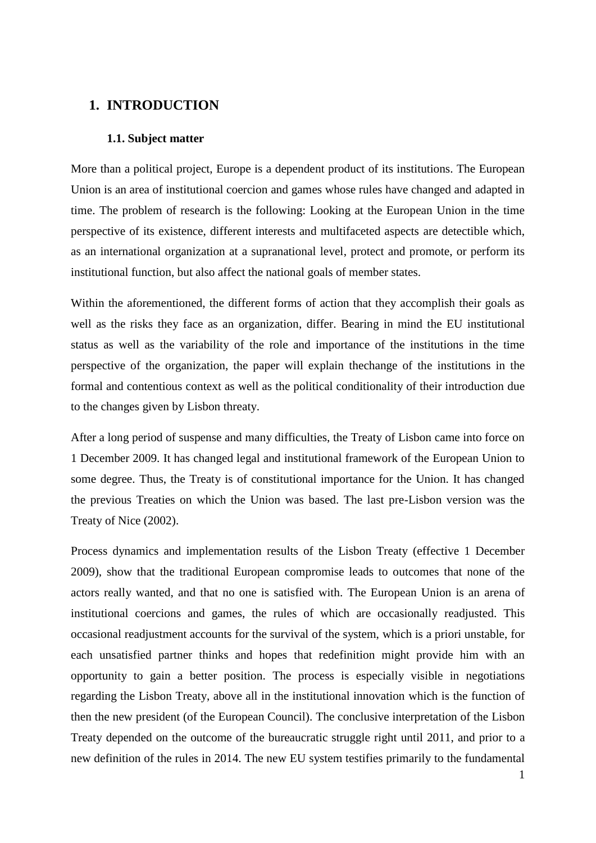# **1. INTRODUCTION**

# **1.1. Subject matter**

More than a political project, Europe is a dependent product of its institutions. The European Union is an area of institutional coercion and games whose rules have changed and adapted in time. The problem of research is the following: Looking at the European Union in the time perspective of its existence, different interests and multifaceted aspects are detectible which, as an international organization at a supranational level, protect and promote, or perform its institutional function, but also affect the national goals of member states.

Within the aforementioned, the different forms of action that they accomplish their goals as well as the risks they face as an organization, differ. Bearing in mind the EU institutional status as well as the variability of the role and importance of the institutions in the time perspective of the organization, the paper will explain thechange of the institutions in the formal and contentious context as well as the political conditionality of their introduction due to the changes given by Lisbon threaty.

After a long period of suspense and many difficulties, the Treaty of Lisbon came into force on 1 December 2009. It has changed legal and institutional framework of the European Union to some degree. Thus, the Treaty is of constitutional importance for the Union. It has changed the previous Treaties on which the Union was based. The last pre-Lisbon version was the Treaty of Nice (2002).

<span id="page-8-0"></span>Process dynamics and implementation results of the Lisbon Treaty (effective 1 December 2009), show that the traditional European compromise leads to outcomes that none of the actors really wanted, and that no one is satisfied with. The European Union is an arena of institutional coercions and games, the rules of which are occasionally readjusted. This occasional readjustment accounts for the survival of the system, which is a priori unstable, for each unsatisfied partner thinks and hopes that redefinition might provide him with an opportunity to gain a better position. The process is especially visible in negotiations regarding the Lisbon Treaty, above all in the institutional innovation which is the function of then the new president (of the European Council). The conclusive interpretation of the Lisbon Treaty depended on the outcome of the bureaucratic struggle right until 2011, and prior to a new definition of the rules in 2014. The new EU system testifies primarily to the fundamental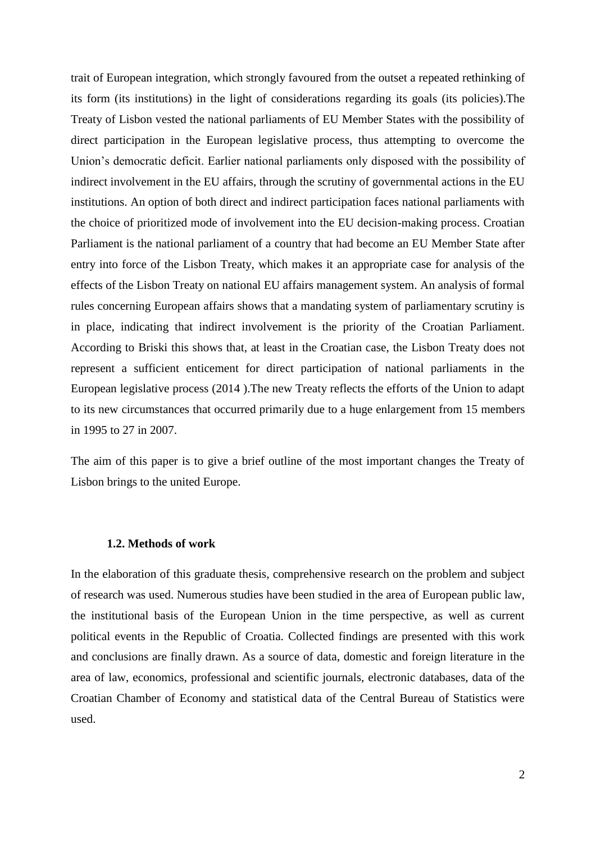<span id="page-9-1"></span><span id="page-9-0"></span>trait of European integration, which strongly favoured from the outset a repeated rethinking of its form (its institutions) in the light of considerations regarding its goals (its policies).The Treaty of Lisbon vested the national parliaments of EU Member States with the possibility of direct participation in the European legislative process, thus attempting to overcome the Union"s democratic deficit. Earlier national parliaments only disposed with the possibility of indirect involvement in the EU affairs, through the scrutiny of governmental actions in the EU institutions. An option of both direct and indirect participation faces national parliaments with the choice of prioritized mode of involvement into the EU decision-making process. Croatian Parliament is the national parliament of a country that had become an EU Member State after entry into force of the Lisbon Treaty, which makes it an appropriate case for analysis of the effects of the Lisbon Treaty on national EU affairs management system. An analysis of formal rules concerning European affairs shows that a mandating system of parliamentary scrutiny is in place, indicating that indirect involvement is the priority of the Croatian Parliament. According to Briski this shows that, at least in the Croatian case, the Lisbon Treaty does not represent a sufficient enticement for direct participation of national parliaments in the European legislative process (2014 ).The new Treaty reflects the efforts of the Union to adapt to its new circumstances that occurred primarily due to a huge enlargement from 15 members in 1995 to 27 in 2007.

The aim of this paper is to give a brief outline of the most important changes the Treaty of Lisbon brings to the united Europe.

### **1.2. Methods of work**

In the elaboration of this graduate thesis, comprehensive research on the problem and subject of research was used. Numerous studies have been studied in the area of European public law, the institutional basis of the European Union in the time perspective, as well as current political events in the Republic of Croatia. Collected findings are presented with this work and conclusions are finally drawn. As a source of data, domestic and foreign literature in the area of law, economics, professional and scientific journals, electronic databases, data of the Croatian Chamber of Economy and statistical data of the Central Bureau of Statistics were used.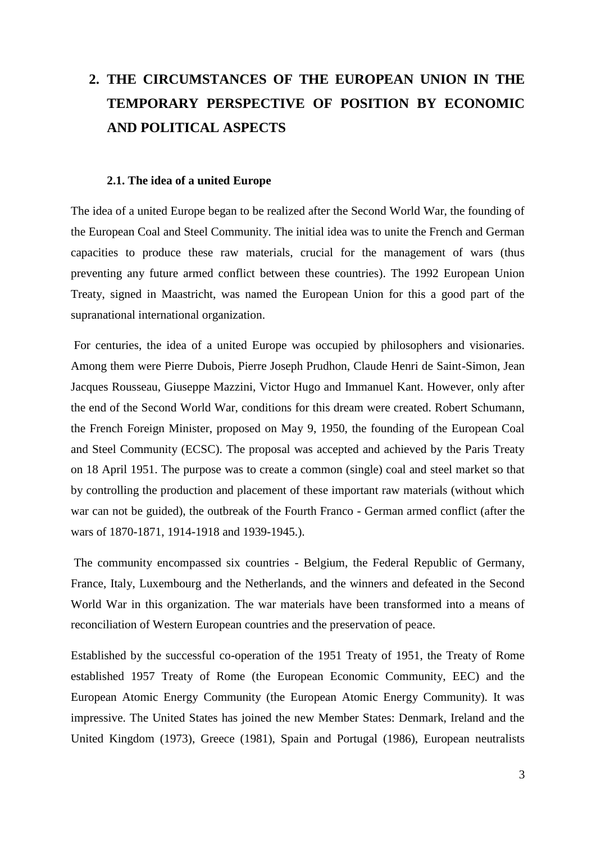# **2. THE CIRCUMSTANCES OF THE EUROPEAN UNION IN THE TEMPORARY PERSPECTIVE OF POSITION BY ECONOMIC AND POLITICAL ASPECTS**

#### **2.1. The idea of a united Europe**

The idea of a united Europe began to be realized after the Second World War, the founding of the European Coal and Steel Community. The initial idea was to unite the French and German capacities to produce these raw materials, crucial for the management of wars (thus preventing any future armed conflict between these countries). The 1992 European Union Treaty, signed in Maastricht, was named the European Union for this a good part of the supranational international organization.

<span id="page-10-0"></span>For centuries, the idea of a united Europe was occupied by philosophers and visionaries. Among them were Pierre Dubois, Pierre Joseph Prudhon, Claude Henri de Saint-Simon, Jean Jacques Rousseau, Giuseppe Mazzini, Victor Hugo and Immanuel Kant. However, only after the end of the Second World War, conditions for this dream were created. Robert Schumann, the French Foreign Minister, proposed on May 9, 1950, the founding of the European Coal and Steel Community (ECSC). The proposal was accepted and achieved by the Paris Treaty on 18 April 1951. The purpose was to create a common (single) coal and steel market so that by controlling the production and placement of these important raw materials (without which war can not be guided), the outbreak of the Fourth Franco - German armed conflict (after the wars of 1870-1871, 1914-1918 and 1939-1945.).

The community encompassed six countries - Belgium, the Federal Republic of Germany, France, Italy, Luxembourg and the Netherlands, and the winners and defeated in the Second World War in this organization. The war materials have been transformed into a means of reconciliation of Western European countries and the preservation of peace.

Established by the successful co-operation of the 1951 Treaty of 1951, the Treaty of Rome established 1957 Treaty of Rome (the European Economic Community, EEC) and the European Atomic Energy Community (the European Atomic Energy Community). It was impressive. The United States has joined the new Member States: Denmark, Ireland and the United Kingdom (1973), Greece (1981), Spain and Portugal (1986), European neutralists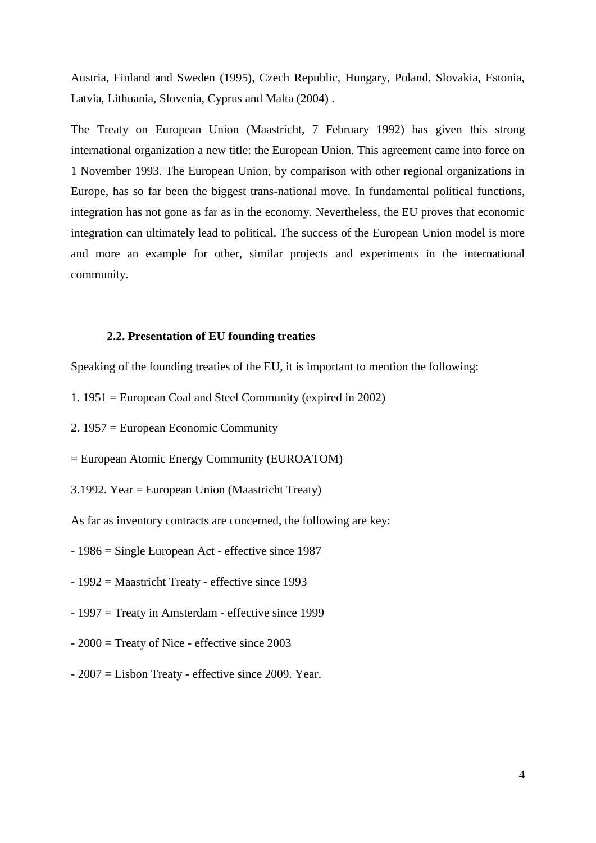<span id="page-11-0"></span>Austria, Finland and Sweden (1995), Czech Republic, Hungary, Poland, Slovakia, Estonia, Latvia, Lithuania, Slovenia, Cyprus and Malta (2004) .

The Treaty on European Union (Maastricht, 7 February 1992) has given this strong international organization a new title: the European Union. This agreement came into force on 1 November 1993. The European Union, by comparison with other regional organizations in Europe, has so far been the biggest trans-national move. In fundamental political functions, integration has not gone as far as in the economy. Nevertheless, the EU proves that economic integration can ultimately lead to political. The success of the European Union model is more and more an example for other, similar projects and experiments in the international community.

#### **2.2. Presentation of EU founding treaties**

Speaking of the founding treaties of the EU, it is important to mention the following:

- 1. 1951 = European Coal and Steel Community (expired in 2002)
- 2. 1957 = European Economic Community
- = European Atomic Energy Community (EUROATOM)
- 3.1992. Year = European Union (Maastricht Treaty)

As far as inventory contracts are concerned, the following are key:

- 1986 = Single European Act effective since 1987
- 1992 = Maastricht Treaty effective since 1993
- 1997 = Treaty in Amsterdam effective since 1999
- 2000 = Treaty of Nice effective since 2003
- 2007 = Lisbon Treaty effective since 2009. Year.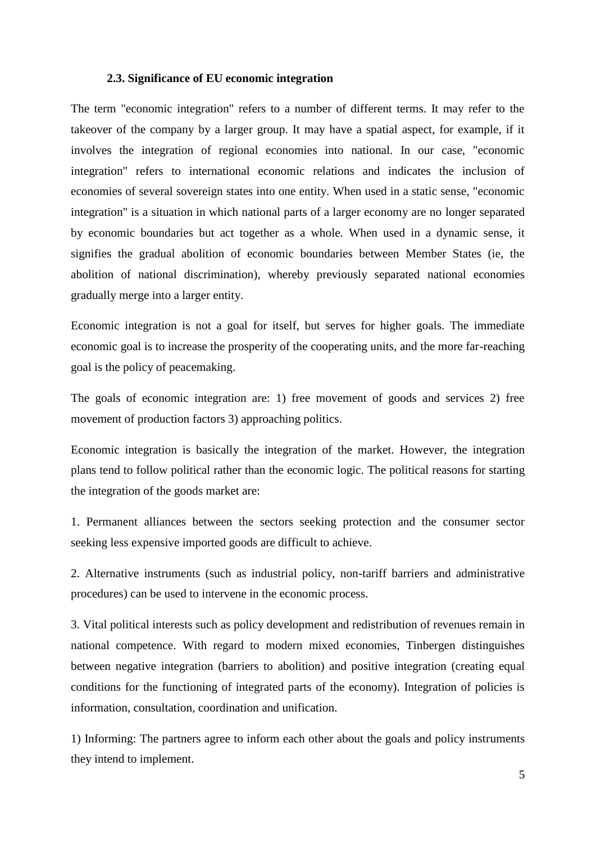#### **2.3. Significance of EU economic integration**

The term "economic integration" refers to a number of different terms. It may refer to the takeover of the company by a larger group. It may have a spatial aspect, for example, if it involves the integration of regional economies into national. In our case, "economic integration" refers to international economic relations and indicates the inclusion of economies of several sovereign states into one entity. When used in a static sense, "economic integration" is a situation in which national parts of a larger economy are no longer separated by economic boundaries but act together as a whole. When used in a dynamic sense, it signifies the gradual abolition of economic boundaries between Member States (ie, the abolition of national discrimination), whereby previously separated national economies gradually merge into a larger entity.

Economic integration is not a goal for itself, but serves for higher goals. The immediate economic goal is to increase the prosperity of the cooperating units, and the more far-reaching goal is the policy of peacemaking.

The goals of economic integration are: 1) free movement of goods and services 2) free movement of production factors 3) approaching politics.

Economic integration is basically the integration of the market. However, the integration plans tend to follow political rather than the economic logic. The political reasons for starting the integration of the goods market are:

1. Permanent alliances between the sectors seeking protection and the consumer sector seeking less expensive imported goods are difficult to achieve.

2. Alternative instruments (such as industrial policy, non-tariff barriers and administrative procedures) can be used to intervene in the economic process.

3. Vital political interests such as policy development and redistribution of revenues remain in national competence. With regard to modern mixed economies, Tinbergen distinguishes between negative integration (barriers to abolition) and positive integration (creating equal conditions for the functioning of integrated parts of the economy). Integration of policies is information, consultation, coordination and unification.

1) Informing: The partners agree to inform each other about the goals and policy instruments they intend to implement.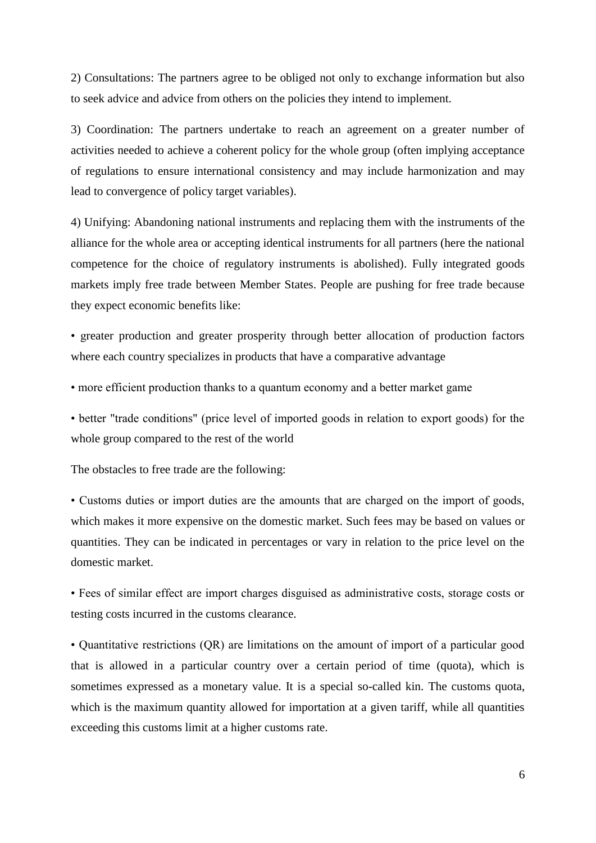2) Consultations: The partners agree to be obliged not only to exchange information but also to seek advice and advice from others on the policies they intend to implement.

3) Coordination: The partners undertake to reach an agreement on a greater number of activities needed to achieve a coherent policy for the whole group (often implying acceptance of regulations to ensure international consistency and may include harmonization and may lead to convergence of policy target variables).

4) Unifying: Abandoning national instruments and replacing them with the instruments of the alliance for the whole area or accepting identical instruments for all partners (here the national competence for the choice of regulatory instruments is abolished). Fully integrated goods markets imply free trade between Member States. People are pushing for free trade because they expect economic benefits like:

• greater production and greater prosperity through better allocation of production factors where each country specializes in products that have a comparative advantage

• more efficient production thanks to a quantum economy and a better market game

• better "trade conditions" (price level of imported goods in relation to export goods) for the whole group compared to the rest of the world

The obstacles to free trade are the following:

• Customs duties or import duties are the amounts that are charged on the import of goods, which makes it more expensive on the domestic market. Such fees may be based on values or quantities. They can be indicated in percentages or vary in relation to the price level on the domestic market.

• Fees of similar effect are import charges disguised as administrative costs, storage costs or testing costs incurred in the customs clearance.

• Quantitative restrictions (QR) are limitations on the amount of import of a particular good that is allowed in a particular country over a certain period of time (quota), which is sometimes expressed as a monetary value. It is a special so-called kin. The customs quota, which is the maximum quantity allowed for importation at a given tariff, while all quantities exceeding this customs limit at a higher customs rate.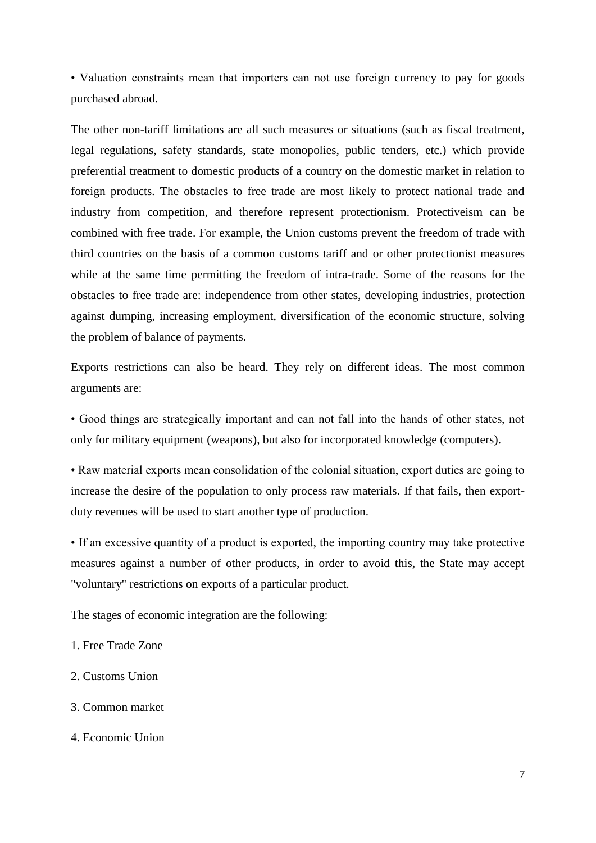• Valuation constraints mean that importers can not use foreign currency to pay for goods purchased abroad.

The other non-tariff limitations are all such measures or situations (such as fiscal treatment, legal regulations, safety standards, state monopolies, public tenders, etc.) which provide preferential treatment to domestic products of a country on the domestic market in relation to foreign products. The obstacles to free trade are most likely to protect national trade and industry from competition, and therefore represent protectionism. Protectiveism can be combined with free trade. For example, the Union customs prevent the freedom of trade with third countries on the basis of a common customs tariff and or other protectionist measures while at the same time permitting the freedom of intra-trade. Some of the reasons for the obstacles to free trade are: independence from other states, developing industries, protection against dumping, increasing employment, diversification of the economic structure, solving the problem of balance of payments.

Exports restrictions can also be heard. They rely on different ideas. The most common arguments are:

• Good things are strategically important and can not fall into the hands of other states, not only for military equipment (weapons), but also for incorporated knowledge (computers).

• Raw material exports mean consolidation of the colonial situation, export duties are going to increase the desire of the population to only process raw materials. If that fails, then exportduty revenues will be used to start another type of production.

• If an excessive quantity of a product is exported, the importing country may take protective measures against a number of other products, in order to avoid this, the State may accept "voluntary" restrictions on exports of a particular product.

The stages of economic integration are the following:

- 1. Free Trade Zone
- 2. Customs Union
- 3. Common market
- 4. Economic Union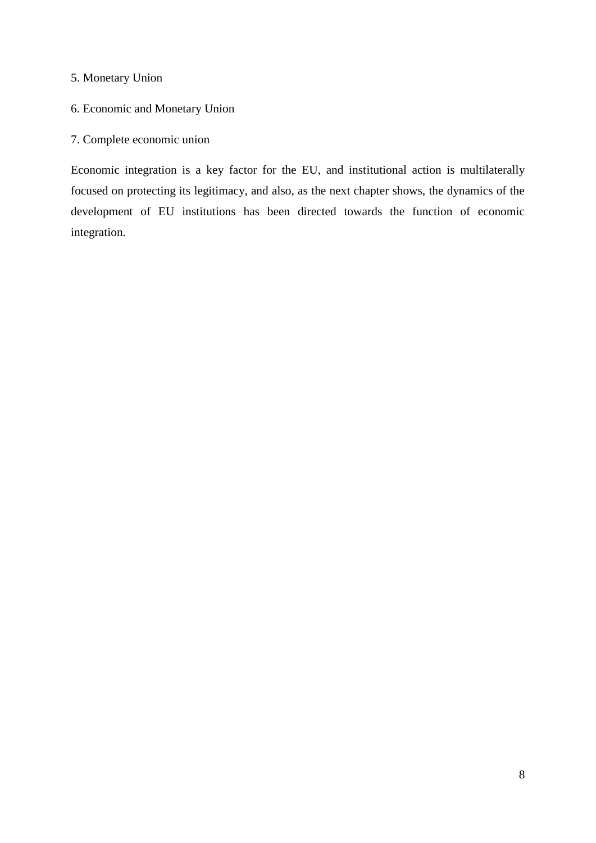# <span id="page-15-0"></span>5. Monetary Union

- 6. Economic and Monetary Union
- 7. Complete economic union

<span id="page-15-2"></span><span id="page-15-1"></span>Economic integration is a key factor for the EU, and institutional action is multilaterally focused on protecting its legitimacy, and also, as the next chapter shows, the dynamics of the development of EU institutions has been directed towards the function of economic integration.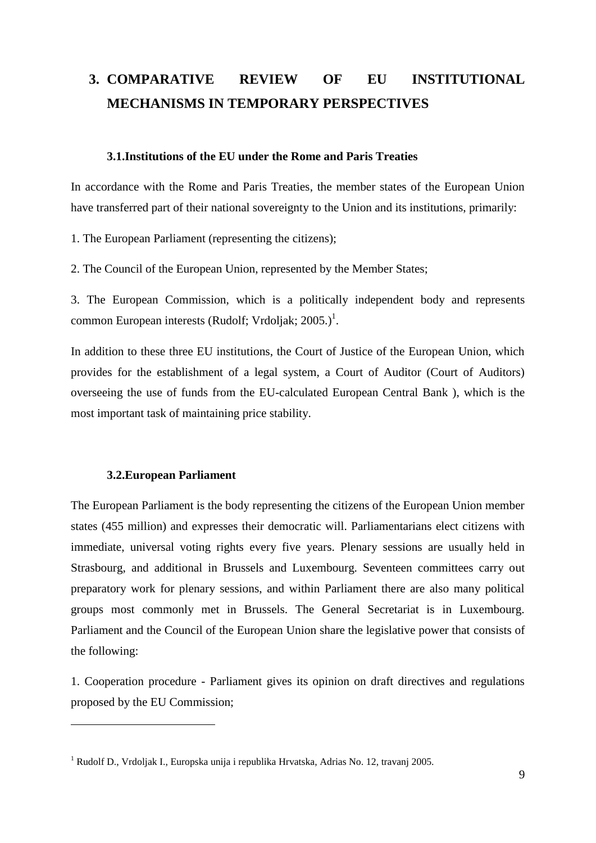# **3. COMPARATIVE REVIEW OF EU INSTITUTIONAL MECHANISMS IN TEMPORARY PERSPECTIVES**

#### **3.1.Institutions of the EU under the Rome and Paris Treaties**

In accordance with the Rome and Paris Treaties, the member states of the European Union have transferred part of their national sovereignty to the Union and its institutions, primarily:

1. The European Parliament (representing the citizens);

2. The Council of the European Union, represented by the Member States;

3. The European Commission, which is a politically independent body and represents common European interests (Rudolf; Vrdoljak;  $2005$ .)<sup>1</sup>.

<span id="page-16-0"></span>In addition to these three EU institutions, the Court of Justice of the European Union, which provides for the establishment of a legal system, a Court of Auditor (Court of Auditors) overseeing the use of funds from the EU-calculated European Central Bank ), which is the most important task of maintaining price stability.

#### **3.2.European Parliament**

1

The European Parliament is the body representing the citizens of the European Union member states (455 million) and expresses their democratic will. Parliamentarians elect citizens with immediate, universal voting rights every five years. Plenary sessions are usually held in Strasbourg, and additional in Brussels and Luxembourg. Seventeen committees carry out preparatory work for plenary sessions, and within Parliament there are also many political groups most commonly met in Brussels. The General Secretariat is in Luxembourg. Parliament and the Council of the European Union share the legislative power that consists of the following:

1. Cooperation procedure - Parliament gives its opinion on draft directives and regulations proposed by the EU Commission;

<sup>&</sup>lt;sup>1</sup> Rudolf D., Vrdoljak I., Europska unija i republika Hrvatska, Adrias No. 12, travanj 2005.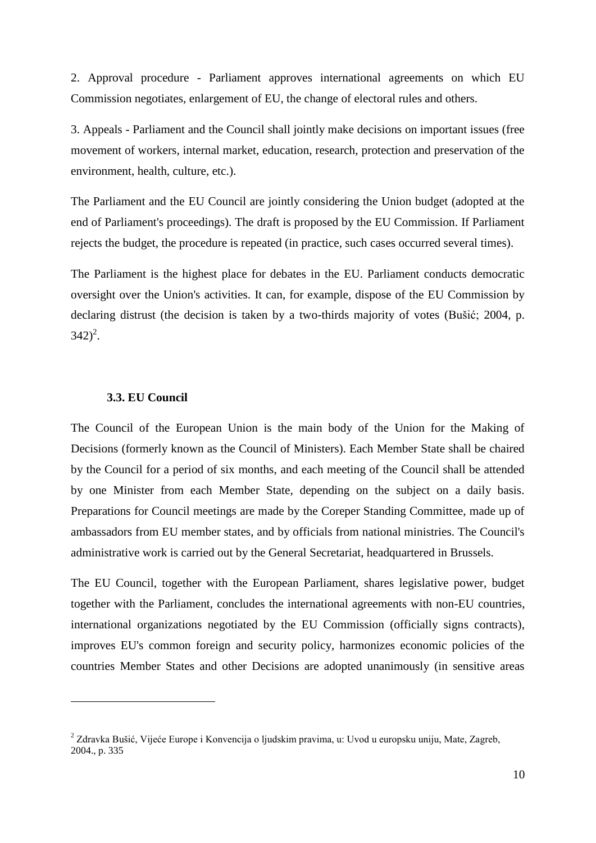2. Approval procedure - Parliament approves international agreements on which EU Commission negotiates, enlargement of EU, the change of electoral rules and others.

3. Appeals - Parliament and the Council shall jointly make decisions on important issues (free movement of workers, internal market, education, research, protection and preservation of the environment, health, culture, etc.).

The Parliament and the EU Council are jointly considering the Union budget (adopted at the end of Parliament's proceedings). The draft is proposed by the EU Commission. If Parliament rejects the budget, the procedure is repeated (in practice, such cases occurred several times).

The Parliament is the highest place for debates in the EU. Parliament conducts democratic oversight over the Union's activities. It can, for example, dispose of the EU Commission by declaring distrust (the decision is taken by a two-thirds majority of votes (Bušić; 2004, p.  $342)^2$ .

#### **3.3. EU Council**

<u>.</u>

The Council of the European Union is the main body of the Union for the Making of Decisions (formerly known as the Council of Ministers). Each Member State shall be chaired by the Council for a period of six months, and each meeting of the Council shall be attended by one Minister from each Member State, depending on the subject on a daily basis. Preparations for Council meetings are made by the Coreper Standing Committee, made up of ambassadors from EU member states, and by officials from national ministries. The Council's administrative work is carried out by the General Secretariat, headquartered in Brussels.

<span id="page-17-0"></span>The EU Council, together with the European Parliament, shares legislative power, budget together with the Parliament, concludes the international agreements with non-EU countries, international organizations negotiated by the EU Commission (officially signs contracts), improves EU's common foreign and security policy, harmonizes economic policies of the countries Member States and other Decisions are adopted unanimously (in sensitive areas

<sup>&</sup>lt;sup>2</sup> Zdravka Bušić, Vijeće Europe i Konvencija o ljudskim pravima, u: Uvod u europsku uniju, Mate, Zagreb, 2004., p. 335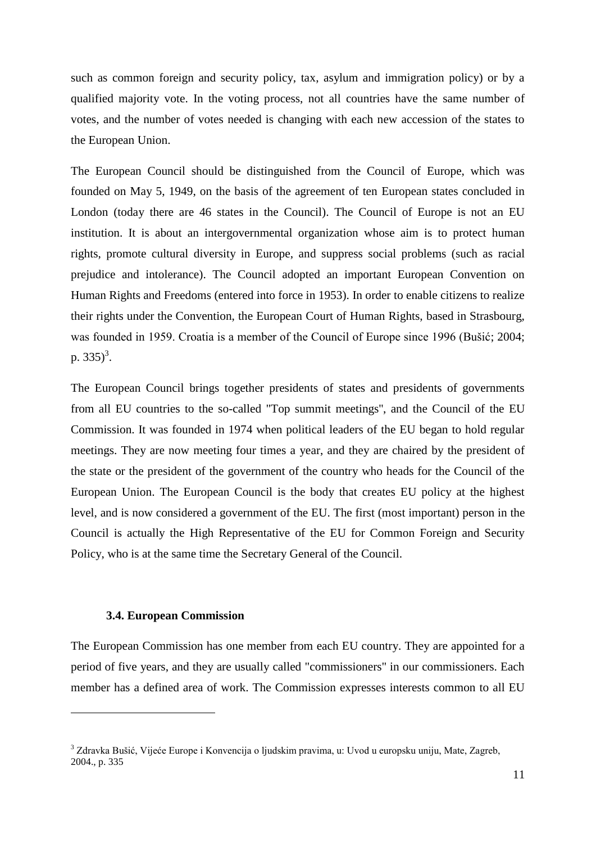such as common foreign and security policy, tax, asylum and immigration policy) or by a qualified majority vote. In the voting process, not all countries have the same number of votes, and the number of votes needed is changing with each new accession of the states to the European Union.

The European Council should be distinguished from the Council of Europe, which was founded on May 5, 1949, on the basis of the agreement of ten European states concluded in London (today there are 46 states in the Council). The Council of Europe is not an EU institution. It is about an intergovernmental organization whose aim is to protect human rights, promote cultural diversity in Europe, and suppress social problems (such as racial prejudice and intolerance). The Council adopted an important European Convention on Human Rights and Freedoms (entered into force in 1953). In order to enable citizens to realize their rights under the Convention, the European Court of Human Rights, based in Strasbourg, was founded in 1959. Croatia is a member of the Council of Europe since 1996 (Bušić; 2004; p. 335 $)^3$ .

The European Council brings together presidents of states and presidents of governments from all EU countries to the so-called "Top summit meetings'', and the Council of the EU Commission. It was founded in 1974 when political leaders of the EU began to hold regular meetings. They are now meeting four times a year, and they are chaired by the president of the state or the president of the government of the country who heads for the Council of the European Union. The European Council is the body that creates EU policy at the highest level, and is now considered a government of the EU. The first (most important) person in the Council is actually the High Representative of the EU for Common Foreign and Security Policy, who is at the same time the Secretary General of the Council.

#### **3.4. European Commission**

1

The European Commission has one member from each EU country. They are appointed for a period of five years, and they are usually called "commissioners" in our commissioners. Each member has a defined area of work. The Commission expresses interests common to all EU

<sup>3</sup> Zdravka Bušić, Vijeće Europe i Konvencija o ljudskim pravima, u: Uvod u europsku uniju, Mate, Zagreb, 2004., p. 335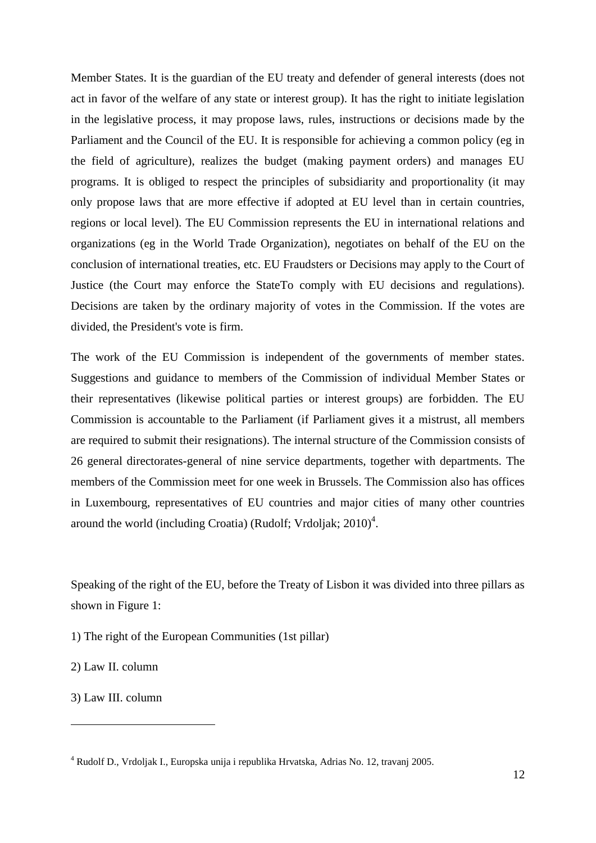Member States. It is the guardian of the EU treaty and defender of general interests (does not act in favor of the welfare of any state or interest group). It has the right to initiate legislation in the legislative process, it may propose laws, rules, instructions or decisions made by the Parliament and the Council of the EU. It is responsible for achieving a common policy (eg in the field of agriculture), realizes the budget (making payment orders) and manages EU programs. It is obliged to respect the principles of subsidiarity and proportionality (it may only propose laws that are more effective if adopted at EU level than in certain countries, regions or local level). The EU Commission represents the EU in international relations and organizations (eg in the World Trade Organization), negotiates on behalf of the EU on the conclusion of international treaties, etc. EU Fraudsters or Decisions may apply to the Court of Justice (the Court may enforce the StateTo comply with EU decisions and regulations). Decisions are taken by the ordinary majority of votes in the Commission. If the votes are divided, the President's vote is firm.

The work of the EU Commission is independent of the governments of member states. Suggestions and guidance to members of the Commission of individual Member States or their representatives (likewise political parties or interest groups) are forbidden. The EU Commission is accountable to the Parliament (if Parliament gives it a mistrust, all members are required to submit their resignations). The internal structure of the Commission consists of 26 general directorates-general of nine service departments, together with departments. The members of the Commission meet for one week in Brussels. The Commission also has offices in Luxembourg, representatives of EU countries and major cities of many other countries around the world (including Croatia) (Rudolf; Vrdoljak;  $2010<sup>4</sup>$ .

Speaking of the right of the EU, before the Treaty of Lisbon it was divided into three pillars as shown in Figure 1:

1) The right of the European Communities (1st pillar)

2) Law II. column

3) Law III. column

<sup>4</sup> Rudolf D., Vrdoljak I., Europska unija i republika Hrvatska, Adrias No. 12, travanj 2005.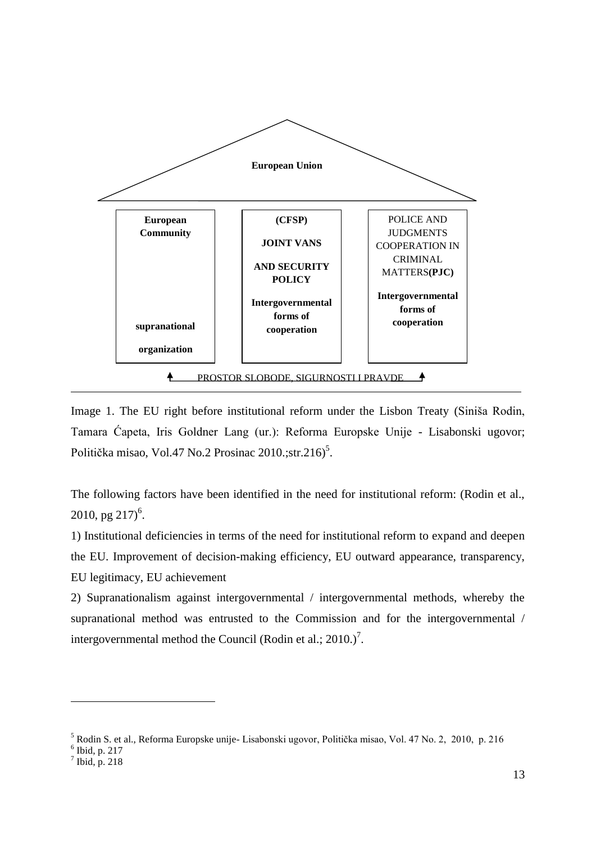<span id="page-20-0"></span>

<span id="page-20-1"></span>Image 1. The EU right before institutional reform under the Lisbon Treaty (Siniša Rodin, Tamara Ćapeta, Iris Goldner Lang (ur.): Reforma Europske Unije - Lisabonski ugovor; Politička misao, Vol.47 No.2 Prosinac 2010.;str.216)<sup>5</sup>.

The following factors have been identified in the need for institutional reform: (Rodin et al., 2010, pg  $217)^6$ .

1) Institutional deficiencies in terms of the need for institutional reform to expand and deepen the EU. Improvement of decision-making efficiency, EU outward appearance, transparency, EU legitimacy, EU achievement

2) Supranationalism against intergovernmental / intergovernmental methods, whereby the supranational method was entrusted to the Commission and for the intergovernmental / intergovernmental method the Council (Rodin et al.; 2010.)<sup>7</sup>.

<u>.</u>

<sup>5</sup> Rodin S. et al., Reforma Europske unije- Lisabonski ugovor, Politička misao, Vol. 47 No. 2, 2010, p. 216

 $<sup>6</sup>$  Ibid, p. 217</sup>

 $<sup>7</sup>$  Ibid, p. 218</sup>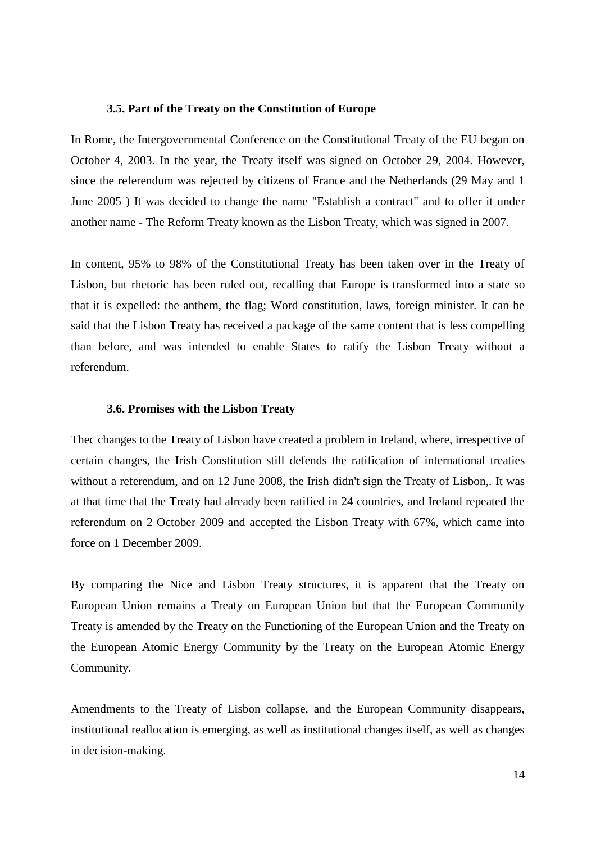#### **3.5. Part of the Treaty on the Constitution of Europe**

In Rome, the Intergovernmental Conference on the Constitutional Treaty of the EU began on October 4, 2003. In the year, the Treaty itself was signed on October 29, 2004. However, since the referendum was rejected by citizens of France and the Netherlands (29 May and 1 June 2005 ) It was decided to change the name "Establish a contract" and to offer it under another name - The Reform Treaty known as the Lisbon Treaty, which was signed in 2007.

In content, 95% to 98% of the Constitutional Treaty has been taken over in the Treaty of Lisbon, but rhetoric has been ruled out, recalling that Europe is transformed into a state so that it is expelled: the anthem, the flag; Word constitution, laws, foreign minister. It can be said that the Lisbon Treaty has received a package of the same content that is less compelling than before, and was intended to enable States to ratify the Lisbon Treaty without a referendum.

#### **3.6. Promises with the Lisbon Treaty**

Thec changes to the Treaty of Lisbon have created a problem in Ireland, where, irrespective of certain changes, the Irish Constitution still defends the ratification of international treaties without a referendum, and on 12 June 2008, the Irish didn't sign the Treaty of Lisbon,. It was at that time that the Treaty had already been ratified in 24 countries, and Ireland repeated the referendum on 2 October 2009 and accepted the Lisbon Treaty with 67%, which came into force on 1 December 2009.

By comparing the Nice and Lisbon Treaty structures, it is apparent that the Treaty on European Union remains a Treaty on European Union but that the European Community Treaty is amended by the Treaty on the Functioning of the European Union and the Treaty on the European Atomic Energy Community by the Treaty on the European Atomic Energy Community.

Amendments to the Treaty of Lisbon collapse, and the European Community disappears, institutional reallocation is emerging, as well as institutional changes itself, as well as changes in decision-making.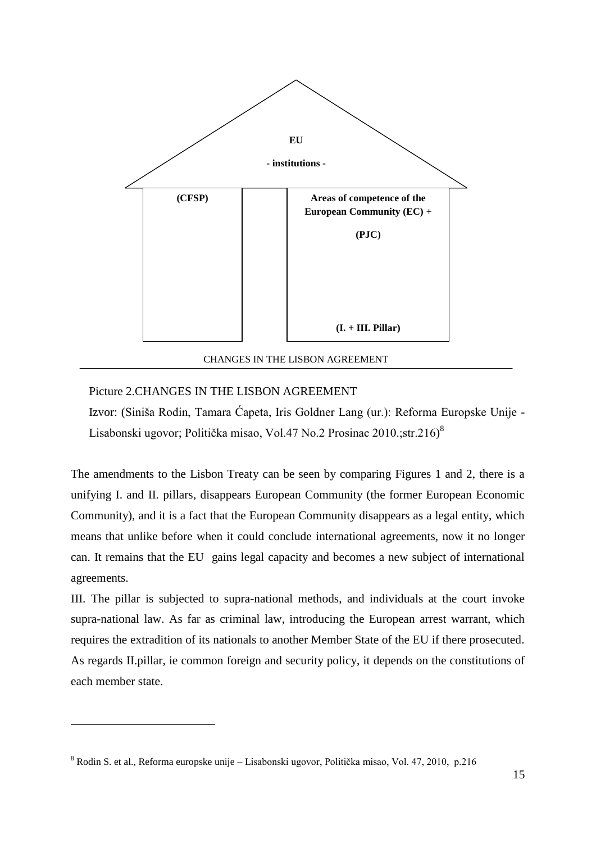

### Picture 2.CHANGES IN THE LISBON AGREEMENT

Izvor: (Siniša Rodin, Tamara Ćapeta, Iris Goldner Lang (ur.): Reforma Europske Unije - Lisabonski ugovor; Politička misao, Vol.47 No.2 Prosinac 2010.;str.216)<sup>8</sup>

The amendments to the Lisbon Treaty can be seen by comparing Figures 1 and 2, there is a unifying I. and II. pillars, disappears European Community (the former European Economic Community), and it is a fact that the European Community disappears as a legal entity, which means that unlike before when it could conclude international agreements, now it no longer can. It remains that the EU gains legal capacity and becomes a new subject of international agreements.

III. The pillar is subjected to supra-national methods, and individuals at the court invoke supra-national law. As far as criminal law, introducing the European arrest warrant, which requires the extradition of its nationals to another Member State of the EU if there prosecuted. As regards II.pillar, ie common foreign and security policy, it depends on the constitutions of each member state.

<sup>8</sup> Rodin S. et al., Reforma europske unije – Lisabonski ugovor, Politička misao, Vol. 47, 2010, p.216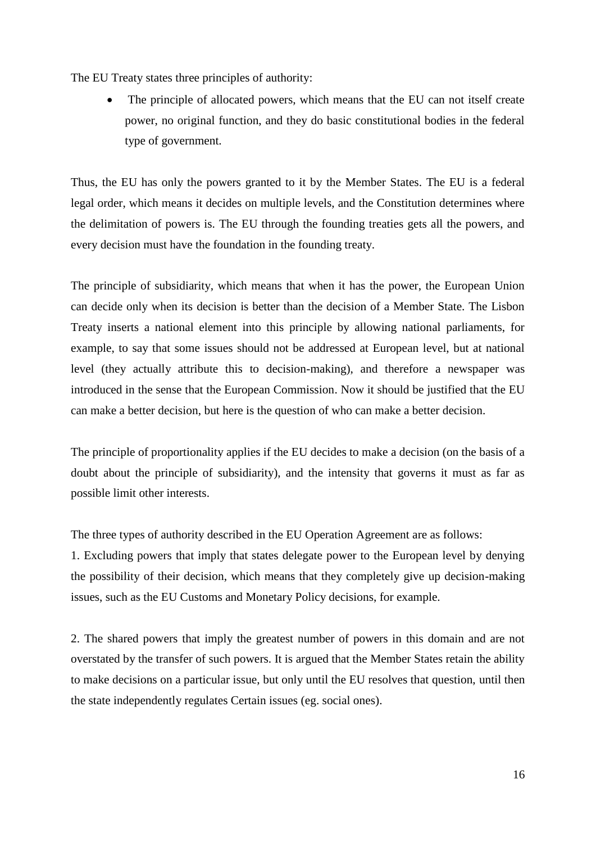The EU Treaty states three principles of authority:

 The principle of allocated powers, which means that the EU can not itself create power, no original function, and they do basic constitutional bodies in the federal type of government.

Thus, the EU has only the powers granted to it by the Member States. The EU is a federal legal order, which means it decides on multiple levels, and the Constitution determines where the delimitation of powers is. The EU through the founding treaties gets all the powers, and every decision must have the foundation in the founding treaty.

The principle of subsidiarity, which means that when it has the power, the European Union can decide only when its decision is better than the decision of a Member State. The Lisbon Treaty inserts a national element into this principle by allowing national parliaments, for example, to say that some issues should not be addressed at European level, but at national level (they actually attribute this to decision-making), and therefore a newspaper was introduced in the sense that the European Commission. Now it should be justified that the EU can make a better decision, but here is the question of who can make a better decision.

The principle of proportionality applies if the EU decides to make a decision (on the basis of a doubt about the principle of subsidiarity), and the intensity that governs it must as far as possible limit other interests.

The three types of authority described in the EU Operation Agreement are as follows:

<span id="page-23-0"></span>1. Excluding powers that imply that states delegate power to the European level by denying the possibility of their decision, which means that they completely give up decision-making issues, such as the EU Customs and Monetary Policy decisions, for example.

2. The shared powers that imply the greatest number of powers in this domain and are not overstated by the transfer of such powers. It is argued that the Member States retain the ability to make decisions on a particular issue, but only until the EU resolves that question, until then the state independently regulates Certain issues (eg. social ones).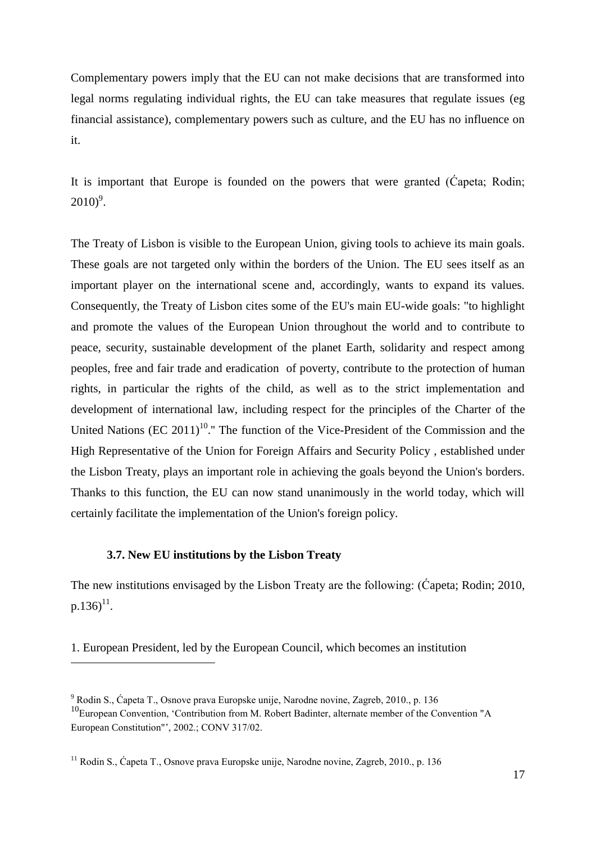Complementary powers imply that the EU can not make decisions that are transformed into legal norms regulating individual rights, the EU can take measures that regulate issues (eg financial assistance), complementary powers such as culture, and the EU has no influence on it.

It is important that Europe is founded on the powers that were granted (Ćapeta; Rodin;  $2010)^9$ .

<span id="page-24-0"></span>The Treaty of Lisbon is visible to the European Union, giving tools to achieve its main goals. These goals are not targeted only within the borders of the Union. The EU sees itself as an important player on the international scene and, accordingly, wants to expand its values. Consequently, the Treaty of Lisbon cites some of the EU's main EU-wide goals: "to highlight and promote the values of the European Union throughout the world and to contribute to peace, security, sustainable development of the planet Earth, solidarity and respect among peoples, free and fair trade and eradication of poverty, contribute to the protection of human rights, in particular the rights of the child, as well as to the strict implementation and development of international law, including respect for the principles of the Charter of the United Nations (EC 2011)<sup>10</sup>." The function of the Vice-President of the Commission and the High Representative of the Union for Foreign Affairs and Security Policy , established under the Lisbon Treaty, plays an important role in achieving the goals beyond the Union's borders. Thanks to this function, the EU can now stand unanimously in the world today, which will certainly facilitate the implementation of the Union's foreign policy.

# <span id="page-24-1"></span>**3.7. New EU institutions by the Lisbon Treaty**

1

The new institutions envisaged by the Lisbon Treaty are the following: (Ćapeta; Rodin; 2010,  $p.136)$ <sup>11</sup>.

1. European President, led by the European Council, which becomes an institution

<sup>9</sup> Rodin S., Ćapeta T., Osnove prava Europske unije, Narodne novine, Zagreb, 2010., p. 136 <sup>10</sup>European Convention, 'Contribution from M. Robert Badinter, alternate member of the Convention "A European Constitution"", 2002.; CONV 317/02.

 $11$  Rodin S., Ćapeta T., Osnove prava Europske unije, Narodne novine, Zagreb, 2010., p. 136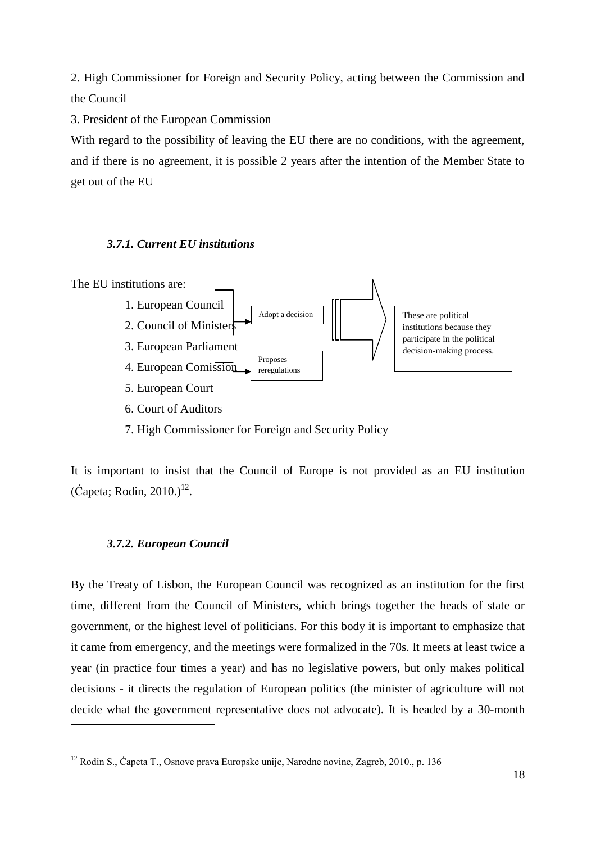2. High Commissioner for Foreign and Security Policy, acting between the Commission and the Council

3. President of the European Commission

<span id="page-25-0"></span>With regard to the possibility of leaving the EU there are no conditions, with the agreement, and if there is no agreement, it is possible 2 years after the intention of the Member State to get out of the EU

### *3.7.1. Current EU institutions*



It is important to insist that the Council of Europe is not provided as an EU institution  $(Capeta; Rodin, 2010.)<sup>12</sup>$ .

### *3.7.2. European Council*

1

<span id="page-25-1"></span>By the Treaty of Lisbon, the European Council was recognized as an institution for the first time, different from the Council of Ministers, which brings together the heads of state or government, or the highest level of politicians. For this body it is important to emphasize that it came from emergency, and the meetings were formalized in the 70s. It meets at least twice a year (in practice four times a year) and has no legislative powers, but only makes political decisions - it directs the regulation of European politics (the minister of agriculture will not decide what the government representative does not advocate). It is headed by a 30-month

<sup>12</sup> Rodin S., Ćapeta T., Osnove prava Europske unije, Narodne novine, Zagreb, 2010., p. 136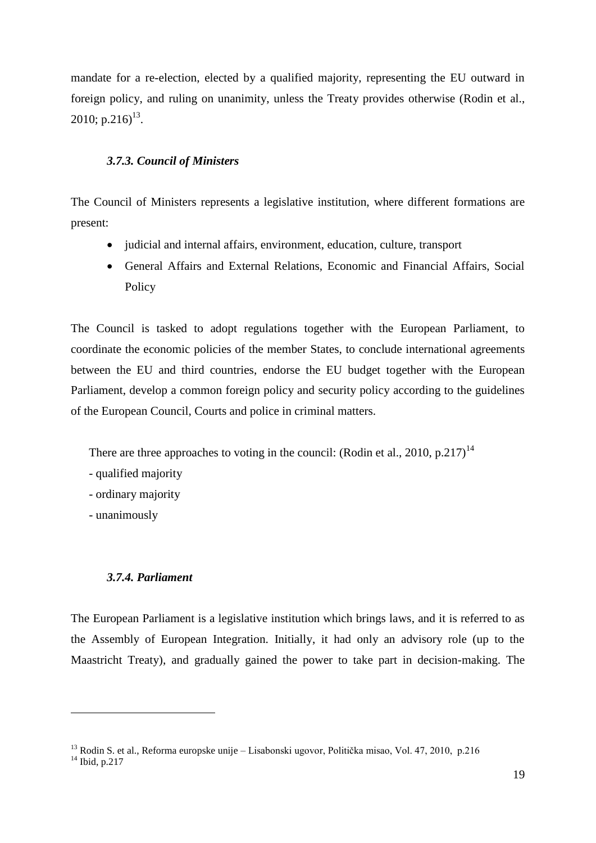mandate for a re-election, elected by a qualified majority, representing the EU outward in foreign policy, and ruling on unanimity, unless the Treaty provides otherwise (Rodin et al., 2010; p.216)<sup>13</sup>.

### *3.7.3. Council of Ministers*

The Council of Ministers represents a legislative institution, where different formations are present:

- judicial and internal affairs, environment, education, culture, transport
- General Affairs and External Relations, Economic and Financial Affairs, Social Policy

The Council is tasked to adopt regulations together with the European Parliament, to coordinate the economic policies of the member States, to conclude international agreements between the EU and third countries, endorse the EU budget together with the European Parliament, develop a common foreign policy and security policy according to the guidelines of the European Council, Courts and police in criminal matters.

- There are three approaches to voting in the council: (Rodin et al., 2010, p.217)<sup>14</sup>
- qualified majority
- ordinary majority
- unanimously

### *3.7.4. Parliament*

The European Parliament is a legislative institution which brings laws, and it is referred to as the Assembly of European Integration. Initially, it had only an advisory role (up to the Maastricht Treaty), and gradually gained the power to take part in decision-making. The

<sup>13</sup> Rodin S. et al., Reforma europske unije – Lisabonski ugovor, Politička misao, Vol. 47, 2010, p.216

 $14$  Ibid, p.217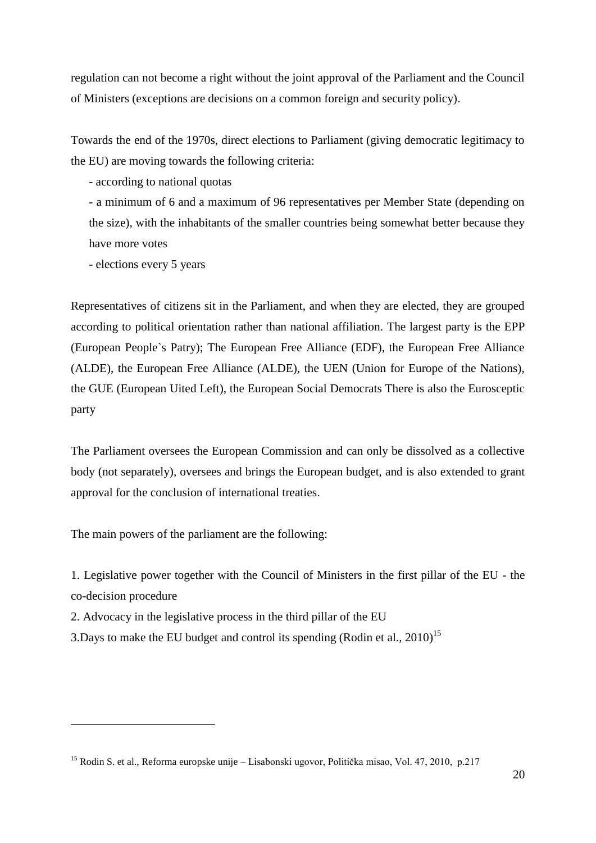<span id="page-27-0"></span>regulation can not become a right without the joint approval of the Parliament and the Council of Ministers (exceptions are decisions on a common foreign and security policy).

Towards the end of the 1970s, direct elections to Parliament (giving democratic legitimacy to the EU) are moving towards the following criteria:

- according to national quotas

- a minimum of 6 and a maximum of 96 representatives per Member State (depending on the size), with the inhabitants of the smaller countries being somewhat better because they have more votes

- elections every 5 years

Representatives of citizens sit in the Parliament, and when they are elected, they are grouped according to political orientation rather than national affiliation. The largest party is the EPP (European People`s Patry); The European Free Alliance (EDF), the European Free Alliance (ALDE), the European Free Alliance (ALDE), the UEN (Union for Europe of the Nations), the GUE (European Uited Left), the European Social Democrats There is also the Eurosceptic party

The Parliament oversees the European Commission and can only be dissolved as a collective body (not separately), oversees and brings the European budget, and is also extended to grant approval for the conclusion of international treaties.

The main powers of the parliament are the following:

1

1. Legislative power together with the Council of Ministers in the first pillar of the EU - the co-decision procedure

2. Advocacy in the legislative process in the third pillar of the EU

3.Days to make the EU budget and control its spending (Rodin et al.,  $2010$ )<sup>15</sup>

<sup>15</sup> Rodin S. et al., Reforma europske unije – Lisabonski ugovor, Politička misao, Vol. 47, 2010, p.217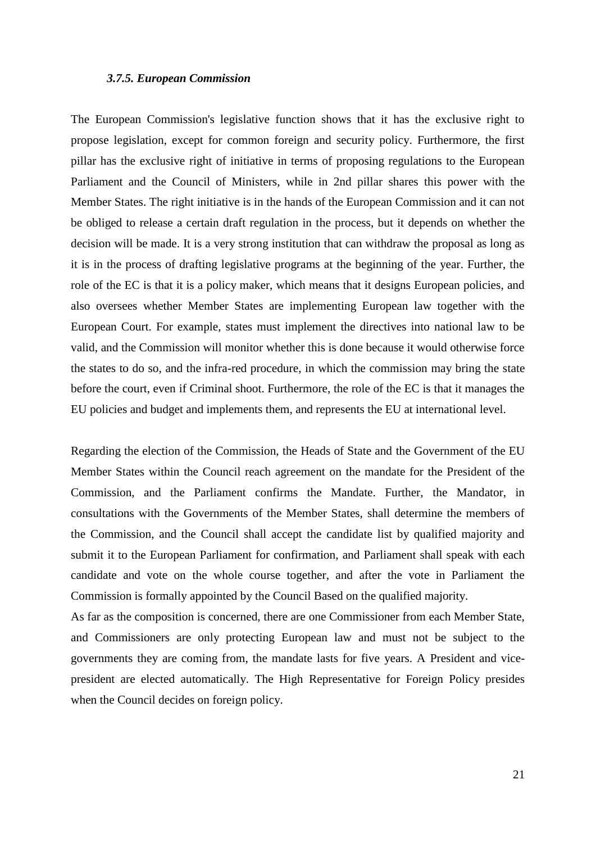#### *3.7.5. European Commission*

<span id="page-28-0"></span>The European Commission's legislative function shows that it has the exclusive right to propose legislation, except for common foreign and security policy. Furthermore, the first pillar has the exclusive right of initiative in terms of proposing regulations to the European Parliament and the Council of Ministers, while in 2nd pillar shares this power with the Member States. The right initiative is in the hands of the European Commission and it can not be obliged to release a certain draft regulation in the process, but it depends on whether the decision will be made. It is a very strong institution that can withdraw the proposal as long as it is in the process of drafting legislative programs at the beginning of the year. Further, the role of the EC is that it is a policy maker, which means that it designs European policies, and also oversees whether Member States are implementing European law together with the European Court. For example, states must implement the directives into national law to be valid, and the Commission will monitor whether this is done because it would otherwise force the states to do so, and the infra-red procedure, in which the commission may bring the state before the court, even if Criminal shoot. Furthermore, the role of the EC is that it manages the EU policies and budget and implements them, and represents the EU at international level.

Regarding the election of the Commission, the Heads of State and the Government of the EU Member States within the Council reach agreement on the mandate for the President of the Commission, and the Parliament confirms the Mandate. Further, the Mandator, in consultations with the Governments of the Member States, shall determine the members of the Commission, and the Council shall accept the candidate list by qualified majority and submit it to the European Parliament for confirmation, and Parliament shall speak with each candidate and vote on the whole course together, and after the vote in Parliament the Commission is formally appointed by the Council Based on the qualified majority.

As far as the composition is concerned, there are one Commissioner from each Member State, and Commissioners are only protecting European law and must not be subject to the governments they are coming from, the mandate lasts for five years. A President and vicepresident are elected automatically. The High Representative for Foreign Policy presides when the Council decides on foreign policy.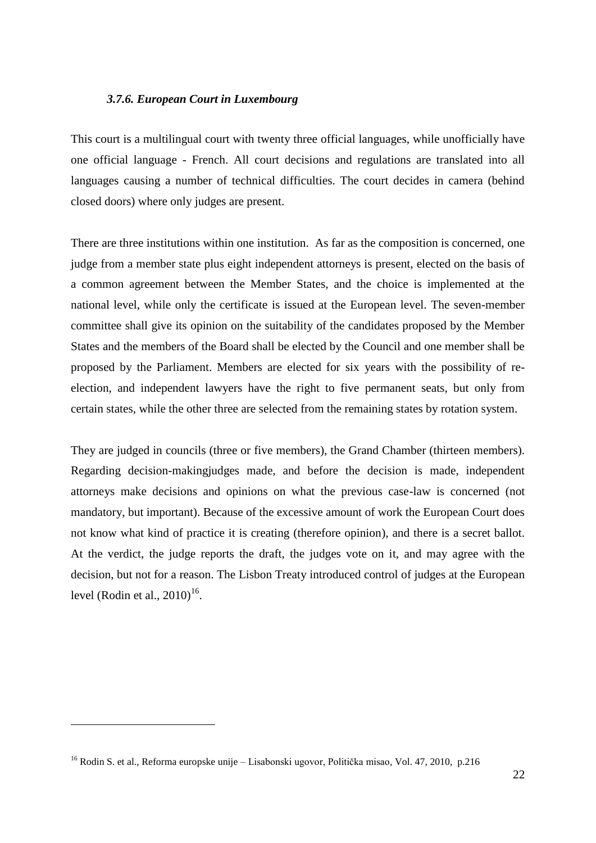### <span id="page-29-0"></span>*3.7.6. European Court in Luxembourg*

This court is a multilingual court with twenty three official languages, while unofficially have one official language - French. All court decisions and regulations are translated into all languages causing a number of technical difficulties. The court decides in camera (behind closed doors) where only judges are present.

There are three institutions within one institution. As far as the composition is concerned, one judge from a member state plus eight independent attorneys is present, elected on the basis of a common agreement between the Member States, and the choice is implemented at the national level, while only the certificate is issued at the European level. The seven-member committee shall give its opinion on the suitability of the candidates proposed by the Member States and the members of the Board shall be elected by the Council and one member shall be proposed by the Parliament. Members are elected for six years with the possibility of reelection, and independent lawyers have the right to five permanent seats, but only from certain states, while the other three are selected from the remaining states by rotation system.

They are judged in councils (three or five members), the Grand Chamber (thirteen members). Regarding decision-makingjudges made, and before the decision is made, independent attorneys make decisions and opinions on what the previous case-law is concerned (not mandatory, but important). Because of the excessive amount of work the European Court does not know what kind of practice it is creating (therefore opinion), and there is a secret ballot. At the verdict, the judge reports the draft, the judges vote on it, and may agree with the decision, but not for a reason. The Lisbon Treaty introduced control of judges at the European level (Rodin et al.,  $2010)^{16}$ .

<sup>16</sup> Rodin S. et al., Reforma europske unije – Lisabonski ugovor, Politička misao, Vol. 47, 2010, p.216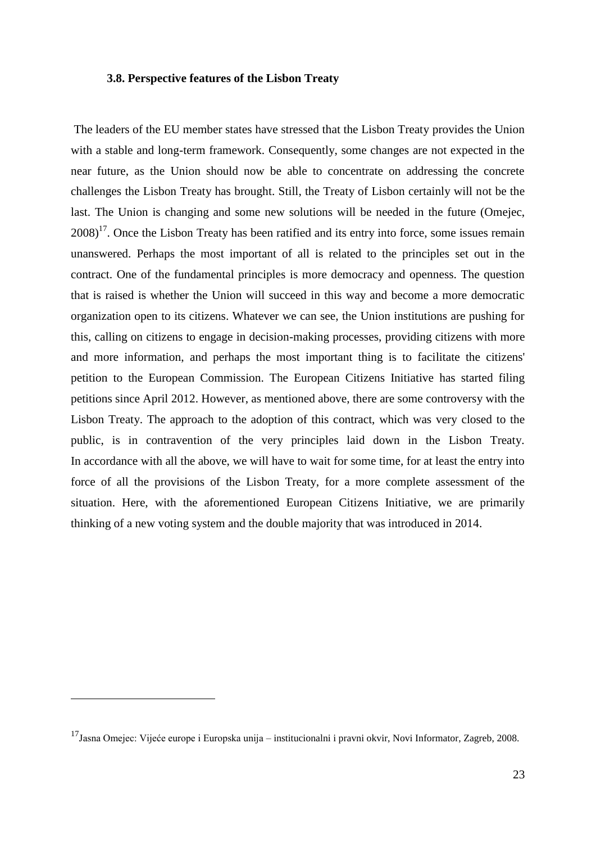#### <span id="page-30-0"></span>**3.8. Perspective features of the Lisbon Treaty**

<span id="page-30-1"></span>The leaders of the EU member states have stressed that the Lisbon Treaty provides the Union with a stable and long-term framework. Consequently, some changes are not expected in the near future, as the Union should now be able to concentrate on addressing the concrete challenges the Lisbon Treaty has brought. Still, the Treaty of Lisbon certainly will not be the last. The Union is changing and some new solutions will be needed in the future (Omejec,  $2008$ <sup>17</sup>. Once the Lisbon Treaty has been ratified and its entry into force, some issues remain unanswered. Perhaps the most important of all is related to the principles set out in the contract. One of the fundamental principles is more democracy and openness. The question that is raised is whether the Union will succeed in this way and become a more democratic organization open to its citizens. Whatever we can see, the Union institutions are pushing for this, calling on citizens to engage in decision-making processes, providing citizens with more and more information, and perhaps the most important thing is to facilitate the citizens' petition to the European Commission. The European Citizens Initiative has started filing petitions since April 2012. However, as mentioned above, there are some controversy with the Lisbon Treaty. The approach to the adoption of this contract, which was very closed to the public, is in contravention of the very principles laid down in the Lisbon Treaty. In accordance with all the above, we will have to wait for some time, for at least the entry into force of all the provisions of the Lisbon Treaty, for a more complete assessment of the situation. Here, with the aforementioned European Citizens Initiative, we are primarily thinking of a new voting system and the double majority that was introduced in 2014.

 $^{17}$ Jasna Omejec: Vijeće europe i Europska unija – institucionalni i pravni okvir, Novi Informator, Zagreb, 2008.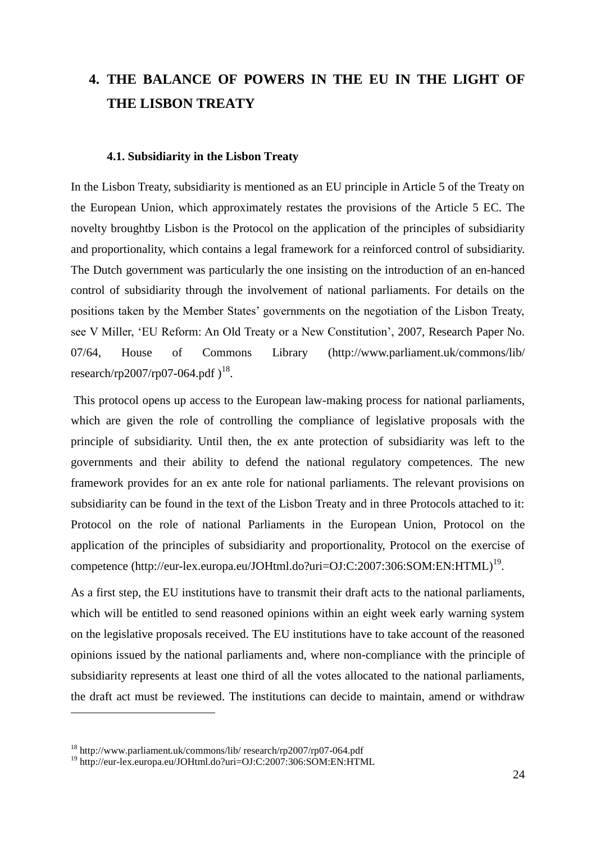# **4. THE BALANCE OF POWERS IN THE EU IN THE LIGHT OF THE LISBON TREATY**

#### **4.1. Subsidiarity in the Lisbon Treaty**

In the Lisbon Treaty, subsidiarity is mentioned as an EU principle in Article 5 of the Treaty on the European Union, which approximately restates the provisions of the Article 5 EC. The novelty broughtby Lisbon is the Protocol on the application of the principles of subsidiarity and proportionality, which contains a legal framework for a reinforced control of subsidiarity. The Dutch government was particularly the one insisting on the introduction of an en-hanced control of subsidiarity through the involvement of national parliaments. For details on the positions taken by the Member States" governments on the negotiation of the Lisbon Treaty, see V Miller, "EU Reform: An Old Treaty or a New Constitution", 2007, Research Paper No. 07/64, House of Commons Library (http://www.parliament.uk/commons/lib/ research/rp2007/rp07-064.pdf  $)^{18}$ .

<span id="page-31-0"></span>This protocol opens up access to the European law-making process for national parliaments, which are given the role of controlling the compliance of legislative proposals with the principle of subsidiarity. Until then, the ex ante protection of subsidiarity was left to the governments and their ability to defend the national regulatory competences. The new framework provides for an ex ante role for national parliaments. The relevant provisions on subsidiarity can be found in the text of the Lisbon Treaty and in three Protocols attached to it: Protocol on the role of national Parliaments in the European Union, Protocol on the application of the principles of subsidiarity and proportionality, Protocol on the exercise of competence (http://eur-lex.europa.eu/JOHtml.do?uri=OJ:C:2007:306:SOM:EN:HTML)<sup>19</sup>.

As a first step, the EU institutions have to transmit their draft acts to the national parliaments, which will be entitled to send reasoned opinions within an eight week early warning system on the legislative proposals received. The EU institutions have to take account of the reasoned opinions issued by the national parliaments and, where non-compliance with the principle of subsidiarity represents at least one third of all the votes allocated to the national parliaments, the draft act must be reviewed. The institutions can decide to maintain, amend or withdraw

<sup>18</sup> http://www.parliament.uk/commons/lib/ research/rp2007/rp07-064.pdf

<sup>&</sup>lt;sup>19</sup> http://eur-lex.europa.eu/JOHtml.do?uri=OJ:C:2007:306:SOM:EN:HTML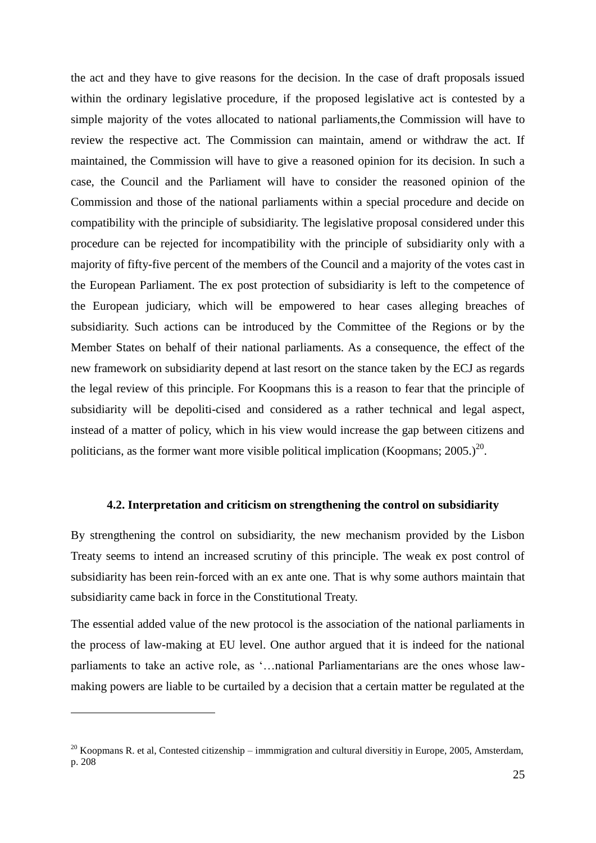the act and they have to give reasons for the decision. In the case of draft proposals issued within the ordinary legislative procedure, if the proposed legislative act is contested by a simple majority of the votes allocated to national parliaments,the Commission will have to review the respective act. The Commission can maintain, amend or withdraw the act. If maintained, the Commission will have to give a reasoned opinion for its decision. In such a case, the Council and the Parliament will have to consider the reasoned opinion of the Commission and those of the national parliaments within a special procedure and decide on compatibility with the principle of subsidiarity. The legislative proposal considered under this procedure can be rejected for incompatibility with the principle of subsidiarity only with a majority of fifty-five percent of the members of the Council and a majority of the votes cast in the European Parliament. The ex post protection of subsidiarity is left to the competence of the European judiciary, which will be empowered to hear cases alleging breaches of subsidiarity. Such actions can be introduced by the Committee of the Regions or by the Member States on behalf of their national parliaments. As a consequence, the effect of the new framework on subsidiarity depend at last resort on the stance taken by the ECJ as regards the legal review of this principle. For Koopmans this is a reason to fear that the principle of subsidiarity will be depoliti-cised and considered as a rather technical and legal aspect, instead of a matter of policy, which in his view would increase the gap between citizens and politicians, as the former want more visible political implication (Koopmans; 2005.)<sup>20</sup>.

#### **4.2. Interpretation and criticism on strengthening the control on subsidiarity**

By strengthening the control on subsidiarity, the new mechanism provided by the Lisbon Treaty seems to intend an increased scrutiny of this principle. The weak ex post control of subsidiarity has been rein-forced with an ex ante one. That is why some authors maintain that subsidiarity came back in force in the Constitutional Treaty.

The essential added value of the new protocol is the association of the national parliaments in the process of law-making at EU level. One author argued that it is indeed for the national parliaments to take an active role, as "…national Parliamentarians are the ones whose lawmaking powers are liable to be curtailed by a decision that a certain matter be regulated at the

 $^{20}$  Koopmans R. et al, Contested citizenship – immmigration and cultural diversitiy in Europe, 2005, Amsterdam, p. 208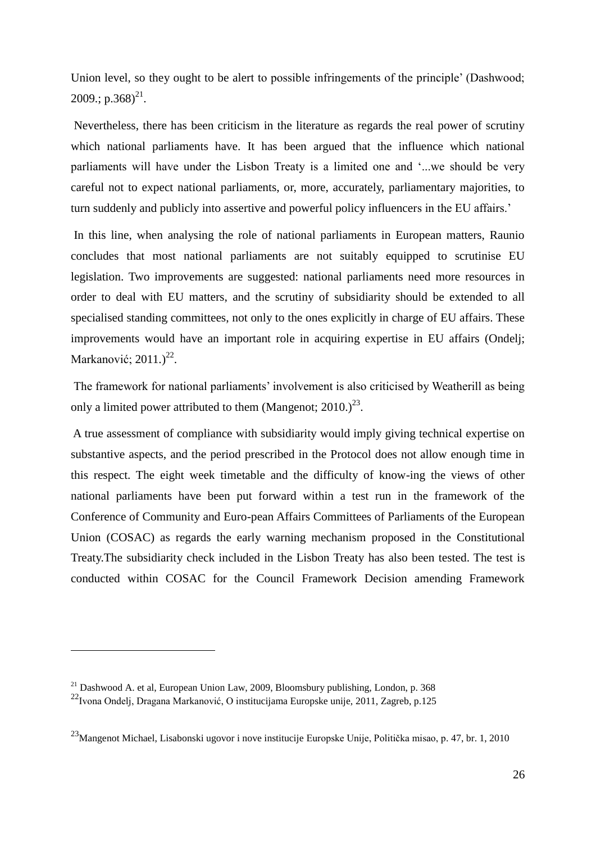Union level, so they ought to be alert to possible infringements of the principle" (Dashwood; 2009.; p.368)<sup>21</sup>.

Nevertheless, there has been criticism in the literature as regards the real power of scrutiny which national parliaments have. It has been argued that the influence which national parliaments will have under the Lisbon Treaty is a limited one and "...we should be very careful not to expect national parliaments, or, more, accurately, parliamentary majorities, to turn suddenly and publicly into assertive and powerful policy influencers in the EU affairs.'

In this line, when analysing the role of national parliaments in European matters, Raunio concludes that most national parliaments are not suitably equipped to scrutinise EU legislation. Two improvements are suggested: national parliaments need more resources in order to deal with EU matters, and the scrutiny of subsidiarity should be extended to all specialised standing committees, not only to the ones explicitly in charge of EU affairs. These improvements would have an important role in acquiring expertise in EU affairs (Ondelj; Markanović; 2011.)<sup>22</sup>.

The framework for national parliaments' involvement is also criticised by Weatherill as being only a limited power attributed to them (Mangenot;  $2010.^{23}$ .

A true assessment of compliance with subsidiarity would imply giving technical expertise on substantive aspects, and the period prescribed in the Protocol does not allow enough time in this respect. The eight week timetable and the difficulty of know-ing the views of other national parliaments have been put forward within a test run in the framework of the Conference of Community and Euro-pean Affairs Committees of Parliaments of the European Union (COSAC) as regards the early warning mechanism proposed in the Constitutional Treaty.The subsidiarity check included in the Lisbon Treaty has also been tested. The test is conducted within COSAC for the Council Framework Decision amending Framework

<u>.</u>

 $^{21}$  Dashwood A. et al, European Union Law, 2009, Bloomsbury publishing, London, p. 368

<sup>22</sup>Ivona Ondelj, Dragana Markanović, O institucijama Europske unije, 2011, Zagreb, p.125

<sup>&</sup>lt;sup>23</sup>Mangenot Michael, Lisabonski ugovor i nove institucije Europske Unije, Politička misao, p. 47, br. 1, 2010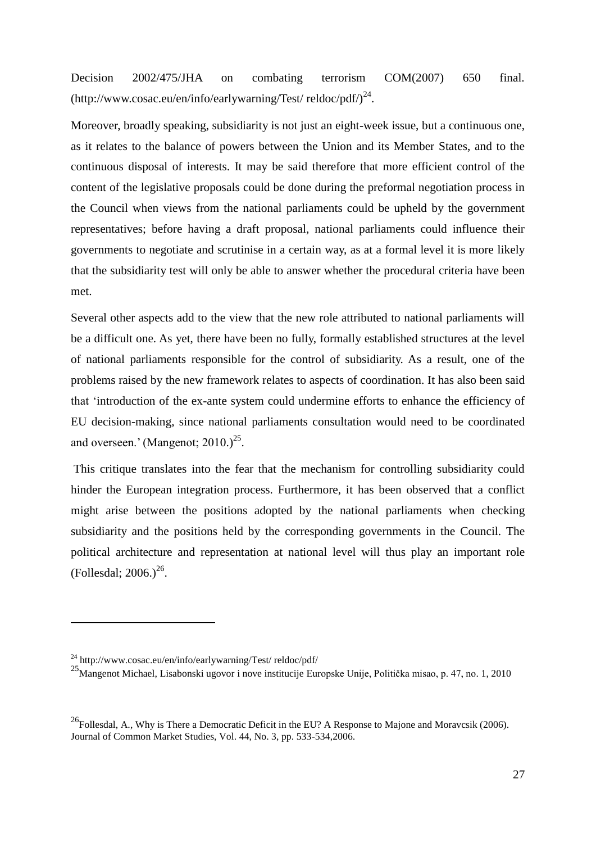Decision 2002/475/JHA on combating terrorism COM(2007) 650 final. (http://www.cosac.eu/en/info/earlywarning/Test/ reldoc/pdf/)<sup>24</sup>.

Moreover, broadly speaking, subsidiarity is not just an eight-week issue, but a continuous one, as it relates to the balance of powers between the Union and its Member States, and to the continuous disposal of interests. It may be said therefore that more efficient control of the content of the legislative proposals could be done during the preformal negotiation process in the Council when views from the national parliaments could be upheld by the government representatives; before having a draft proposal, national parliaments could influence their governments to negotiate and scrutinise in a certain way, as at a formal level it is more likely that the subsidiarity test will only be able to answer whether the procedural criteria have been met.

Several other aspects add to the view that the new role attributed to national parliaments will be a difficult one. As yet, there have been no fully, formally established structures at the level of national parliaments responsible for the control of subsidiarity. As a result, one of the problems raised by the new framework relates to aspects of coordination. It has also been said that "introduction of the ex-ante system could undermine efforts to enhance the efficiency of EU decision-making, since national parliaments consultation would need to be coordinated and overseen.' (Mangenot;  $2010.^{25}$ .

This critique translates into the fear that the mechanism for controlling subsidiarity could hinder the European integration process. Furthermore, it has been observed that a conflict might arise between the positions adopted by the national parliaments when checking subsidiarity and the positions held by the corresponding governments in the Council. The political architecture and representation at national level will thus play an important role (Follesdal;  $2006.$ )<sup>26</sup>.

 $^{24}$  http://www.cosac.eu/en/info/earlywarning/Test/ reldoc/pdf/

<sup>25</sup>Mangenot Michael, Lisabonski ugovor i nove institucije Europske Unije, Politička misao, p. 47, no. 1, 2010

 $^{26}$ Follesdal, A., Why is There a Democratic Deficit in the EU? A Response to Majone and Moravcsik (2006). Journal of Common Market Studies, Vol. 44, No. 3, pp. 533-534,2006.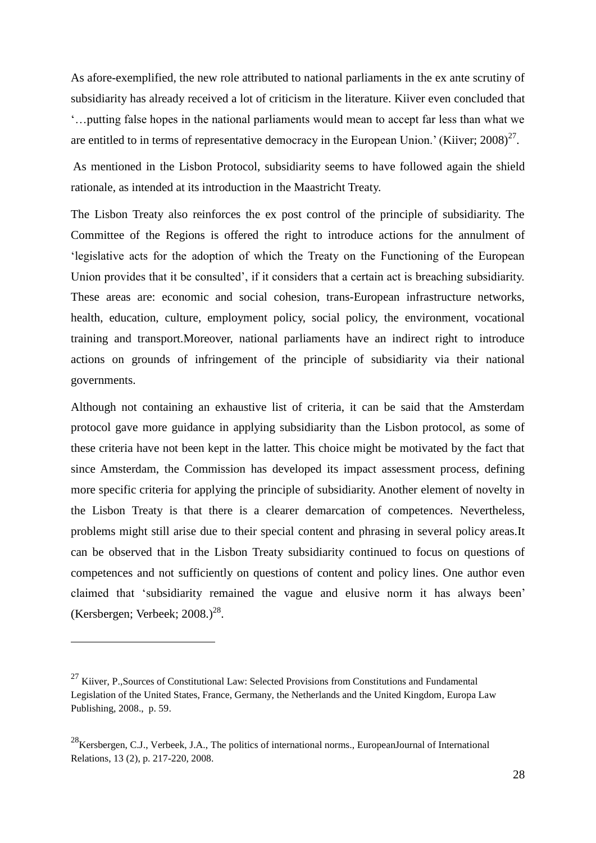As afore-exemplified, the new role attributed to national parliaments in the ex ante scrutiny of subsidiarity has already received a lot of criticism in the literature. Kiiver even concluded that "…putting false hopes in the national parliaments would mean to accept far less than what we are entitled to in terms of representative democracy in the European Union.' (Kiiver; 2008)<sup>27</sup>.

As mentioned in the Lisbon Protocol, subsidiarity seems to have followed again the shield rationale, as intended at its introduction in the Maastricht Treaty.

The Lisbon Treaty also reinforces the ex post control of the principle of subsidiarity. The Committee of the Regions is offered the right to introduce actions for the annulment of "legislative acts for the adoption of which the Treaty on the Functioning of the European Union provides that it be consulted", if it considers that a certain act is breaching subsidiarity. These areas are: economic and social cohesion, trans-European infrastructure networks, health, education, culture, employment policy, social policy, the environment, vocational training and transport.Moreover, national parliaments have an indirect right to introduce actions on grounds of infringement of the principle of subsidiarity via their national governments.

<span id="page-35-0"></span>Although not containing an exhaustive list of criteria, it can be said that the Amsterdam protocol gave more guidance in applying subsidiarity than the Lisbon protocol, as some of these criteria have not been kept in the latter. This choice might be motivated by the fact that since Amsterdam, the Commission has developed its impact assessment process, defining more specific criteria for applying the principle of subsidiarity. Another element of novelty in the Lisbon Treaty is that there is a clearer demarcation of competences. Nevertheless, problems might still arise due to their special content and phrasing in several policy areas.It can be observed that in the Lisbon Treaty subsidiarity continued to focus on questions of competences and not sufficiently on questions of content and policy lines. One author even claimed that "subsidiarity remained the vague and elusive norm it has always been" (Kersbergen; Verbeek;  $2008.<sup>28</sup>$ .

<u>.</u>

<sup>&</sup>lt;sup>27</sup> Kiiver, P.,Sources of Constitutional Law: Selected Provisions from Constitutions and Fundamental Legislation of the United States, France, Germany, the Netherlands and the United Kingdom, Europa Law Publishing, 2008., p. 59.

<sup>&</sup>lt;sup>28</sup>Kersbergen, C.J., Verbeek, J.A., The politics of international norms., EuropeanJournal of International Relations, 13 (2), p. 217-220, 2008.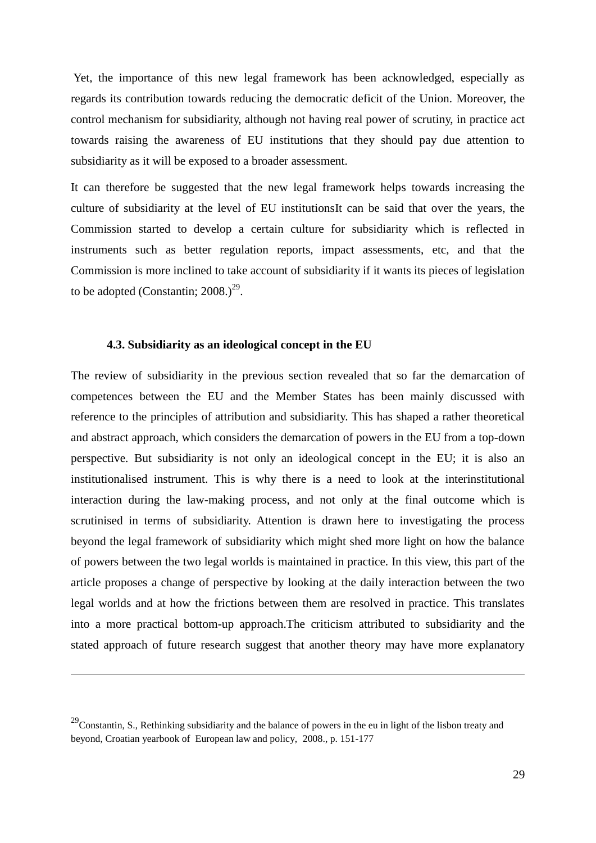Yet, the importance of this new legal framework has been acknowledged, especially as regards its contribution towards reducing the democratic deficit of the Union. Moreover, the control mechanism for subsidiarity, although not having real power of scrutiny, in practice act towards raising the awareness of EU institutions that they should pay due attention to subsidiarity as it will be exposed to a broader assessment.

It can therefore be suggested that the new legal framework helps towards increasing the culture of subsidiarity at the level of EU institutionsIt can be said that over the years, the Commission started to develop a certain culture for subsidiarity which is reflected in instruments such as better regulation reports, impact assessments, etc, and that the Commission is more inclined to take account of subsidiarity if it wants its pieces of legislation to be adopted (Constantin;  $2008.<sup>29</sup>$ .

### **4.3. Subsidiarity as an ideological concept in the EU**

<span id="page-36-0"></span>The review of subsidiarity in the previous section revealed that so far the demarcation of competences between the EU and the Member States has been mainly discussed with reference to the principles of attribution and subsidiarity. This has shaped a rather theoretical and abstract approach, which considers the demarcation of powers in the EU from a top-down perspective. But subsidiarity is not only an ideological concept in the EU; it is also an institutionalised instrument. This is why there is a need to look at the interinstitutional interaction during the law-making process, and not only at the final outcome which is scrutinised in terms of subsidiarity. Attention is drawn here to investigating the process beyond the legal framework of subsidiarity which might shed more light on how the balance of powers between the two legal worlds is maintained in practice. In this view, this part of the article proposes a change of perspective by looking at the daily interaction between the two legal worlds and at how the frictions between them are resolved in practice. This translates into a more practical bottom-up approach.The criticism attributed to subsidiarity and the stated approach of future research suggest that another theory may have more explanatory

 $\overline{a}$ 

 $29^{\circ}$ Constantin, S., Rethinking subsidiarity and the balance of powers in the eu in light of the lisbon treaty and beyond, Croatian yearbook of European law and policy, 2008., p. 151-177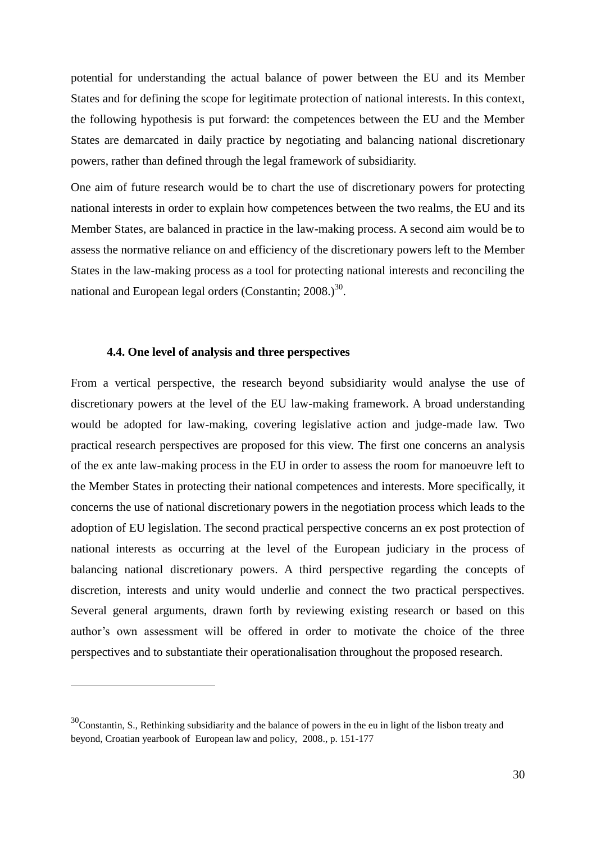<span id="page-37-0"></span>potential for understanding the actual balance of power between the EU and its Member States and for defining the scope for legitimate protection of national interests. In this context, the following hypothesis is put forward: the competences between the EU and the Member States are demarcated in daily practice by negotiating and balancing national discretionary powers, rather than defined through the legal framework of subsidiarity.

One aim of future research would be to chart the use of discretionary powers for protecting national interests in order to explain how competences between the two realms, the EU and its Member States, are balanced in practice in the law-making process. A second aim would be to assess the normative reliance on and efficiency of the discretionary powers left to the Member States in the law-making process as a tool for protecting national interests and reconciling the national and European legal orders (Constantin; 2008.)<sup>30</sup>.

#### **4.4. One level of analysis and three perspectives**

<u>.</u>

From a vertical perspective, the research beyond subsidiarity would analyse the use of discretionary powers at the level of the EU law-making framework. A broad understanding would be adopted for law-making, covering legislative action and judge-made law. Two practical research perspectives are proposed for this view. The first one concerns an analysis of the ex ante law-making process in the EU in order to assess the room for manoeuvre left to the Member States in protecting their national competences and interests. More specifically, it concerns the use of national discretionary powers in the negotiation process which leads to the adoption of EU legislation. The second practical perspective concerns an ex post protection of national interests as occurring at the level of the European judiciary in the process of balancing national discretionary powers. A third perspective regarding the concepts of discretion, interests and unity would underlie and connect the two practical perspectives. Several general arguments, drawn forth by reviewing existing research or based on this author"s own assessment will be offered in order to motivate the choice of the three perspectives and to substantiate their operationalisation throughout the proposed research.

<sup>&</sup>lt;sup>30</sup>Constantin, S., Rethinking subsidiarity and the balance of powers in the eu in light of the lisbon treaty and beyond, Croatian yearbook of European law and policy, 2008., p. 151-177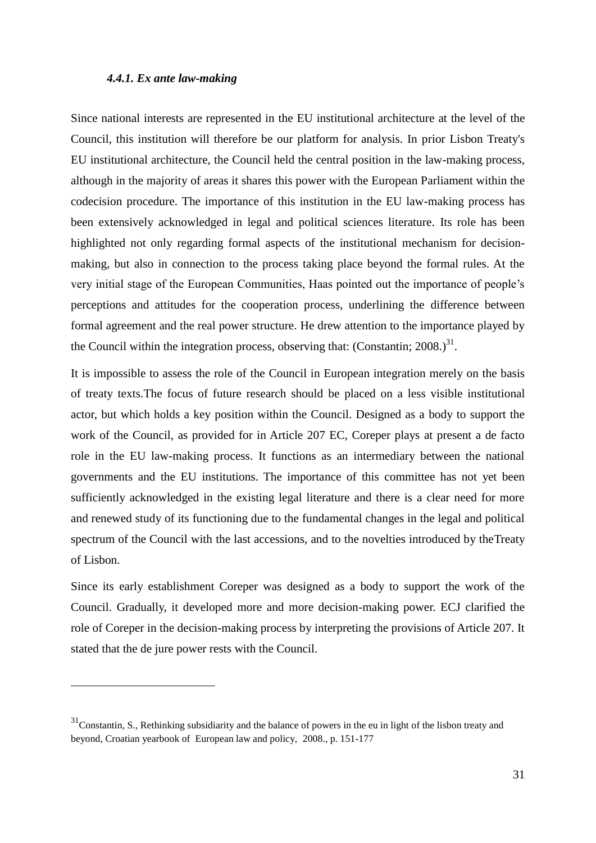#### *4.4.1. Ex ante law-making*

<u>.</u>

Since national interests are represented in the EU institutional architecture at the level of the Council, this institution will therefore be our platform for analysis. In prior Lisbon Treaty's EU institutional architecture, the Council held the central position in the law-making process, although in the majority of areas it shares this power with the European Parliament within the codecision procedure. The importance of this institution in the EU law-making process has been extensively acknowledged in legal and political sciences literature. Its role has been highlighted not only regarding formal aspects of the institutional mechanism for decisionmaking, but also in connection to the process taking place beyond the formal rules. At the very initial stage of the European Communities, Haas pointed out the importance of people"s perceptions and attitudes for the cooperation process, underlining the difference between formal agreement and the real power structure. He drew attention to the importance played by the Council within the integration process, observing that: (Constantin; 2008.) $^{31}$ .

It is impossible to assess the role of the Council in European integration merely on the basis of treaty texts.The focus of future research should be placed on a less visible institutional actor, but which holds a key position within the Council. Designed as a body to support the work of the Council, as provided for in Article 207 EC, Coreper plays at present a de facto role in the EU law-making process. It functions as an intermediary between the national governments and the EU institutions. The importance of this committee has not yet been sufficiently acknowledged in the existing legal literature and there is a clear need for more and renewed study of its functioning due to the fundamental changes in the legal and political spectrum of the Council with the last accessions, and to the novelties introduced by theTreaty of Lisbon.

Since its early establishment Coreper was designed as a body to support the work of the Council. Gradually, it developed more and more decision-making power. ECJ clarified the role of Coreper in the decision-making process by interpreting the provisions of Article 207. It stated that the de jure power rests with the Council.

<sup>&</sup>lt;sup>31</sup>Constantin, S., Rethinking subsidiarity and the balance of powers in the eu in light of the lisbon treaty and beyond, Croatian yearbook of European law and policy, 2008., p. 151-177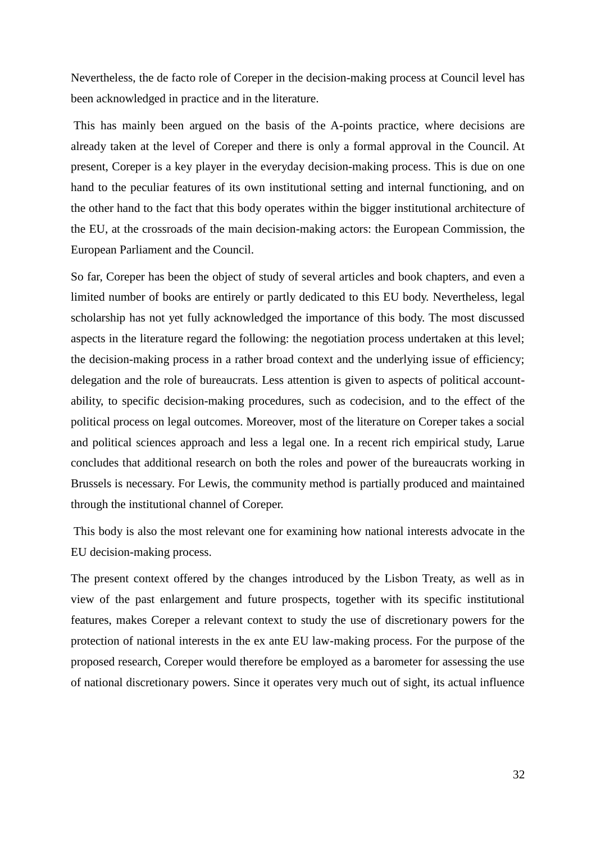Nevertheless, the de facto role of Coreper in the decision-making process at Council level has been acknowledged in practice and in the literature.

<span id="page-39-0"></span>This has mainly been argued on the basis of the A-points practice, where decisions are already taken at the level of Coreper and there is only a formal approval in the Council. At present, Coreper is a key player in the everyday decision-making process. This is due on one hand to the peculiar features of its own institutional setting and internal functioning, and on the other hand to the fact that this body operates within the bigger institutional architecture of the EU, at the crossroads of the main decision-making actors: the European Commission, the European Parliament and the Council.

So far, Coreper has been the object of study of several articles and book chapters, and even a limited number of books are entirely or partly dedicated to this EU body. Nevertheless, legal scholarship has not yet fully acknowledged the importance of this body. The most discussed aspects in the literature regard the following: the negotiation process undertaken at this level; the decision-making process in a rather broad context and the underlying issue of efficiency; delegation and the role of bureaucrats. Less attention is given to aspects of political accountability, to specific decision-making procedures, such as codecision, and to the effect of the political process on legal outcomes. Moreover, most of the literature on Coreper takes a social and political sciences approach and less a legal one. In a recent rich empirical study, Larue concludes that additional research on both the roles and power of the bureaucrats working in Brussels is necessary. For Lewis, the community method is partially produced and maintained through the institutional channel of Coreper.

This body is also the most relevant one for examining how national interests advocate in the EU decision-making process.

The present context offered by the changes introduced by the Lisbon Treaty, as well as in view of the past enlargement and future prospects, together with its specific institutional features, makes Coreper a relevant context to study the use of discretionary powers for the protection of national interests in the ex ante EU law-making process. For the purpose of the proposed research, Coreper would therefore be employed as a barometer for assessing the use of national discretionary powers. Since it operates very much out of sight, its actual influence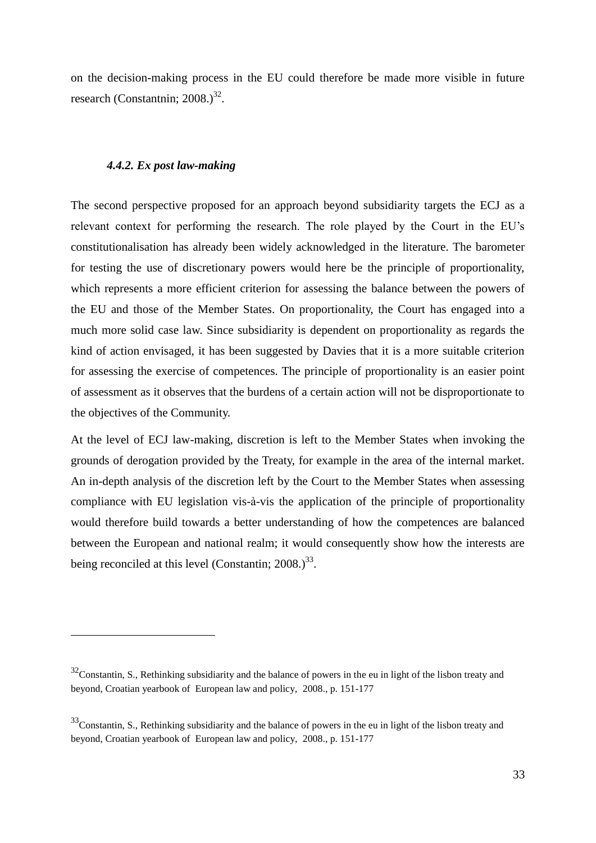<span id="page-40-0"></span>on the decision-making process in the EU could therefore be made more visible in future research (Constantnin;  $2008.<sup>32</sup>$ .

# <span id="page-40-1"></span>*4.4.2. Ex post law-making*

<u>.</u>

The second perspective proposed for an approach beyond subsidiarity targets the ECJ as a relevant context for performing the research. The role played by the Court in the EU"s constitutionalisation has already been widely acknowledged in the literature. The barometer for testing the use of discretionary powers would here be the principle of proportionality, which represents a more efficient criterion for assessing the balance between the powers of the EU and those of the Member States. On proportionality, the Court has engaged into a much more solid case law. Since subsidiarity is dependent on proportionality as regards the kind of action envisaged, it has been suggested by Davies that it is a more suitable criterion for assessing the exercise of competences. The principle of proportionality is an easier point of assessment as it observes that the burdens of a certain action will not be disproportionate to the objectives of the Community.

At the level of ECJ law-making, discretion is left to the Member States when invoking the grounds of derogation provided by the Treaty, for example in the area of the internal market. An in-depth analysis of the discretion left by the Court to the Member States when assessing compliance with EU legislation vis-à-vis the application of the principle of proportionality would therefore build towards a better understanding of how the competences are balanced between the European and national realm; it would consequently show how the interests are being reconciled at this level (Constantin;  $2008.<sup>33</sup>$ .

<sup>&</sup>lt;sup>32</sup>Constantin, S., Rethinking subsidiarity and the balance of powers in the eu in light of the lisbon treaty and beyond, Croatian yearbook of European law and policy, 2008., p. 151-177

<sup>&</sup>lt;sup>33</sup>Constantin, S., Rethinking subsidiarity and the balance of powers in the eu in light of the lisbon treaty and beyond, Croatian yearbook of European law and policy, 2008., p. 151-177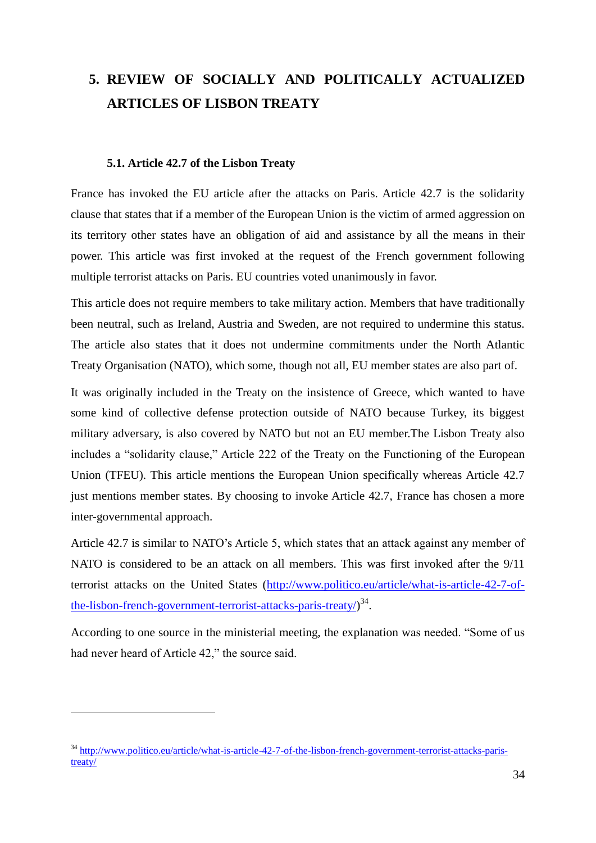# **5. REVIEW OF SOCIALLY AND POLITICALLY ACTUALIZED ARTICLES OF LISBON TREATY**

### **5.1. Article 42.7 of the Lisbon Treaty**

France has invoked the EU article after the attacks on Paris. Article 42.7 is the solidarity clause that states that if a member of the European Union is the victim of armed aggression on its territory other states have an obligation of aid and assistance by all the means in their power. This article was first invoked at the request of the French government following multiple terrorist attacks on Paris. EU countries voted unanimously in favor.

<span id="page-41-0"></span>This article does not require members to take military action. Members that have traditionally been neutral, such as Ireland, Austria and Sweden, are not required to undermine this status. The article also states that it does not undermine commitments under the North Atlantic Treaty Organisation (NATO), which some, though not all, EU member states are also part of.

It was originally included in the Treaty on the insistence of Greece, which wanted to have some kind of collective defense protection outside of NATO because Turkey, its biggest military adversary, is also covered by NATO but not an EU member.The Lisbon Treaty also includes a "solidarity clause," Article 222 of the Treaty on the Functioning of the European Union (TFEU). This article mentions the European Union specifically whereas Article 42.7 just mentions member states. By choosing to invoke Article 42.7, France has chosen a more inter-governmental approach.

<span id="page-41-1"></span>Article 42.7 is similar to NATO's Article 5, which states that an attack against any member of NATO is considered to be an attack on all members. This was first invoked after the 9/11 terrorist attacks on the United States [\(http://www.politico.eu/article/what-is-article-42-7-of](http://www.politico.eu/article/what-is-article-42-7-of-the-lisbon-french-government-terrorist-attacks-paris-treaty/)[the-lisbon-french-government-terrorist-attacks-paris-treaty/\)](http://www.politico.eu/article/what-is-article-42-7-of-the-lisbon-french-government-terrorist-attacks-paris-treaty/)<sup>34</sup>.

According to one source in the ministerial meeting, the explanation was needed. "Some of us had never heard of Article 42," the source said.

<sup>34</sup> [http://www.politico.eu/article/what-is-article-42-7-of-the-lisbon-french-government-terrorist-attacks-paris](http://www.politico.eu/article/what-is-article-42-7-of-the-lisbon-french-government-terrorist-attacks-paris-treaty/)[treaty/](http://www.politico.eu/article/what-is-article-42-7-of-the-lisbon-french-government-terrorist-attacks-paris-treaty/)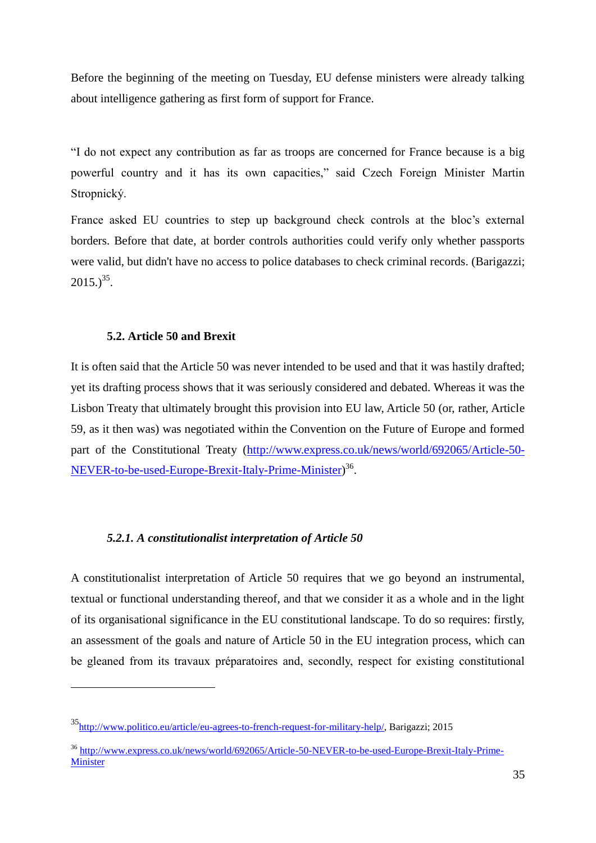Before the beginning of the meeting on Tuesday, EU defense ministers were already talking about intelligence gathering as first form of support for France.

"I do not expect any contribution as far as troops are concerned for France because is a big powerful country and it has its own capacities," said Czech Foreign Minister Martin Stropnický.

France asked EU countries to step up background check controls at the bloc's external borders. Before that date, at border controls authorities could verify only whether passports were valid, but didn't have no access to police databases to check criminal records. (Barigazzi;  $2015.)^{35}$ .

# **5.2. Article 50 and Brexit**

1

It is often said that the Article 50 was never intended to be used and that it was hastily drafted; yet its drafting process shows that it was seriously considered and debated. Whereas it was the Lisbon Treaty that ultimately brought this provision into EU law, Article 50 (or, rather, Article 59, as it then was) was negotiated within the Convention on the Future of Europe and formed part of the Constitutional Treaty [\(http://www.express.co.uk/news/world/692065/Article-50-](http://www.express.co.uk/news/world/692065/Article-50-NEVER-to-be-used-Europe-Brexit-Italy-Prime-Minister) [NEVER-to-be-used-Europe-Brexit-Italy-Prime-Minister\)](http://www.express.co.uk/news/world/692065/Article-50-NEVER-to-be-used-Europe-Brexit-Italy-Prime-Minister) 36 .

# *5.2.1. A constitutionalist interpretation of Article 50*

A constitutionalist interpretation of Article 50 requires that we go beyond an instrumental, textual or functional understanding thereof, and that we consider it as a whole and in the light of its organisational significance in the EU constitutional landscape. To do so requires: firstly, an assessment of the goals and nature of Article 50 in the EU integration process, which can be gleaned from its travaux préparatoires and, secondly, respect for existing constitutional

<sup>35</sup>[http://www.politico.eu/article/eu-agrees-to-french-request-for-military-help/,](http://www.politico.eu/article/eu-agrees-to-french-request-for-military-help/) Barigazzi; 2015

<sup>36</sup> [http://www.express.co.uk/news/world/692065/Article-50-NEVER-to-be-used-Europe-Brexit-Italy-Prime-](http://www.express.co.uk/news/world/692065/Article-50-NEVER-to-be-used-Europe-Brexit-Italy-Prime-Minister)**[Minister](http://www.express.co.uk/news/world/692065/Article-50-NEVER-to-be-used-Europe-Brexit-Italy-Prime-Minister)**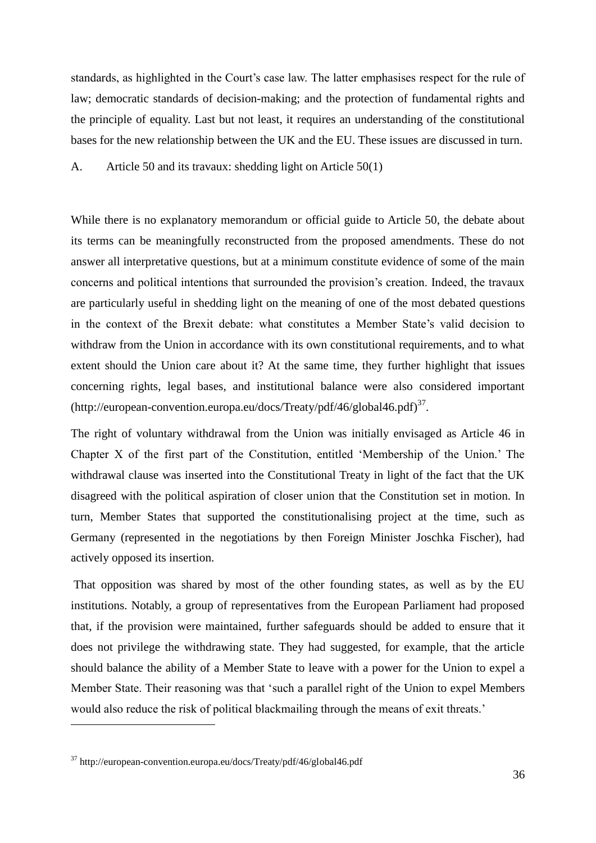standards, as highlighted in the Court's case law. The latter emphasises respect for the rule of law; democratic standards of decision-making; and the protection of fundamental rights and the principle of equality. Last but not least, it requires an understanding of the constitutional bases for the new relationship between the UK and the EU. These issues are discussed in turn.

A. Article 50 and its travaux: shedding light on Article 50(1)

While there is no explanatory memorandum or official guide to Article 50, the debate about its terms can be meaningfully reconstructed from the proposed amendments. These do not answer all interpretative questions, but at a minimum constitute evidence of some of the main concerns and political intentions that surrounded the provision's creation. Indeed, the travaux are particularly useful in shedding light on the meaning of one of the most debated questions in the context of the Brexit debate: what constitutes a Member State's valid decision to withdraw from the Union in accordance with its own constitutional requirements, and to what extent should the Union care about it? At the same time, they further highlight that issues concerning rights, legal bases, and institutional balance were also considered important (http://european-convention.europa.eu/docs/Treaty/pdf/46/global46.pdf)<sup>37</sup>.

The right of voluntary withdrawal from the Union was initially envisaged as Article 46 in Chapter X of the first part of the Constitution, entitled "Membership of the Union." The withdrawal clause was inserted into the Constitutional Treaty in light of the fact that the UK disagreed with the political aspiration of closer union that the Constitution set in motion. In turn, Member States that supported the constitutionalising project at the time, such as Germany (represented in the negotiations by then Foreign Minister Joschka Fischer), had actively opposed its insertion.

That opposition was shared by most of the other founding states, as well as by the EU institutions. Notably, a group of representatives from the European Parliament had proposed that, if the provision were maintained, further safeguards should be added to ensure that it does not privilege the withdrawing state. They had suggested, for example, that the article should balance the ability of a Member State to leave with a power for the Union to expel a Member State. Their reasoning was that "such a parallel right of the Union to expel Members would also reduce the risk of political blackmailing through the means of exit threats.'

<sup>37</sup> http://european-convention.europa.eu/docs/Treaty/pdf/46/global46.pdf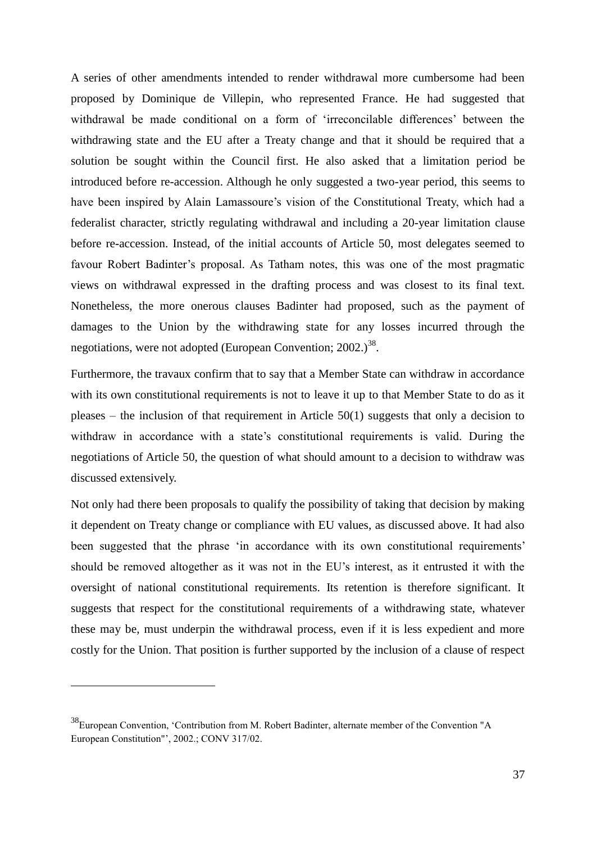A series of other amendments intended to render withdrawal more cumbersome had been proposed by Dominique de Villepin, who represented France. He had suggested that withdrawal be made conditional on a form of 'irreconcilable differences' between the withdrawing state and the EU after a Treaty change and that it should be required that a solution be sought within the Council first. He also asked that a limitation period be introduced before re-accession. Although he only suggested a two-year period, this seems to have been inspired by Alain Lamassoure's vision of the Constitutional Treaty, which had a federalist character, strictly regulating withdrawal and including a 20-year limitation clause before re-accession. Instead, of the initial accounts of Article 50, most delegates seemed to favour Robert Badinter"s proposal. As Tatham notes, this was one of the most pragmatic views on withdrawal expressed in the drafting process and was closest to its final text. Nonetheless, the more onerous clauses Badinter had proposed, such as the payment of damages to the Union by the withdrawing state for any losses incurred through the negotiations, were not adopted (European Convention; 2002.)<sup>38</sup>.

Furthermore, the travaux confirm that to say that a Member State can withdraw in accordance with its own constitutional requirements is not to leave it up to that Member State to do as it pleases – the inclusion of that requirement in Article  $50(1)$  suggests that only a decision to withdraw in accordance with a state's constitutional requirements is valid. During the negotiations of Article 50, the question of what should amount to a decision to withdraw was discussed extensively.

Not only had there been proposals to qualify the possibility of taking that decision by making it dependent on Treaty change or compliance with EU values, as discussed above. It had also been suggested that the phrase 'in accordance with its own constitutional requirements' should be removed altogether as it was not in the EU"s interest, as it entrusted it with the oversight of national constitutional requirements. Its retention is therefore significant. It suggests that respect for the constitutional requirements of a withdrawing state, whatever these may be, must underpin the withdrawal process, even if it is less expedient and more costly for the Union. That position is further supported by the inclusion of a clause of respect

<u>.</u>

<sup>38</sup>European Convention, "Contribution from M. Robert Badinter, alternate member of the Convention "A European Constitution"", 2002.; CONV 317/02.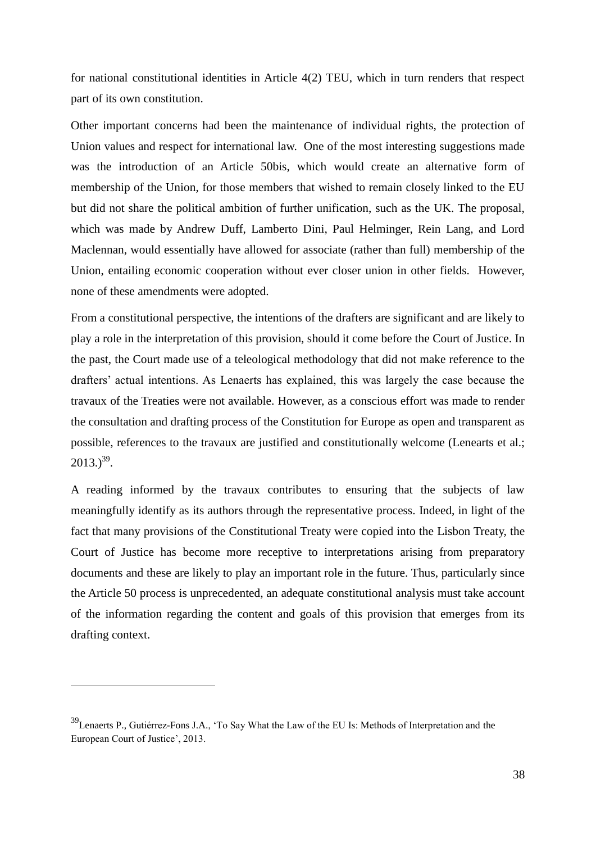for national constitutional identities in Article 4(2) TEU, which in turn renders that respect part of its own constitution.

Other important concerns had been the maintenance of individual rights, the protection of Union values and respect for international law. One of the most interesting suggestions made was the introduction of an Article 50bis, which would create an alternative form of membership of the Union, for those members that wished to remain closely linked to the EU but did not share the political ambition of further unification, such as the UK. The proposal, which was made by Andrew Duff, Lamberto Dini, Paul Helminger, Rein Lang, and Lord Maclennan, would essentially have allowed for associate (rather than full) membership of the Union, entailing economic cooperation without ever closer union in other fields. However, none of these amendments were adopted.

From a constitutional perspective, the intentions of the drafters are significant and are likely to play a role in the interpretation of this provision, should it come before the Court of Justice. In the past, the Court made use of a teleological methodology that did not make reference to the drafters" actual intentions. As Lenaerts has explained, this was largely the case because the travaux of the Treaties were not available. However, as a conscious effort was made to render the consultation and drafting process of the Constitution for Europe as open and transparent as possible, references to the travaux are justified and constitutionally welcome (Lenearts et al.;  $2013.)^{39}$ .

<span id="page-45-0"></span>A reading informed by the travaux contributes to ensuring that the subjects of law meaningfully identify as its authors through the representative process. Indeed, in light of the fact that many provisions of the Constitutional Treaty were copied into the Lisbon Treaty, the Court of Justice has become more receptive to interpretations arising from preparatory documents and these are likely to play an important role in the future. Thus, particularly since the Article 50 process is unprecedented, an adequate constitutional analysis must take account of the information regarding the content and goals of this provision that emerges from its drafting context.

<u>.</u>

<sup>39</sup>Lenaerts P., Gutiérrez-Fons J.A., "To Say What the Law of the EU Is: Methods of Interpretation and the European Court of Justice', 2013.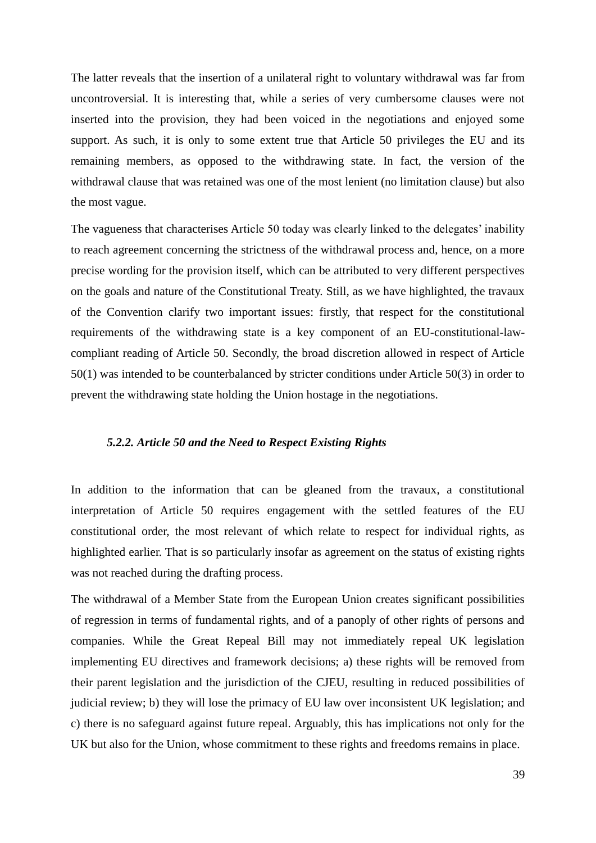The latter reveals that the insertion of a unilateral right to voluntary withdrawal was far from uncontroversial. It is interesting that, while a series of very cumbersome clauses were not inserted into the provision, they had been voiced in the negotiations and enjoyed some support. As such, it is only to some extent true that Article 50 privileges the EU and its remaining members, as opposed to the withdrawing state. In fact, the version of the withdrawal clause that was retained was one of the most lenient (no limitation clause) but also the most vague.

The vagueness that characterises Article 50 today was clearly linked to the delegates' inability to reach agreement concerning the strictness of the withdrawal process and, hence, on a more precise wording for the provision itself, which can be attributed to very different perspectives on the goals and nature of the Constitutional Treaty. Still, as we have highlighted, the travaux of the Convention clarify two important issues: firstly, that respect for the constitutional requirements of the withdrawing state is a key component of an EU-constitutional-lawcompliant reading of Article 50. Secondly, the broad discretion allowed in respect of Article 50(1) was intended to be counterbalanced by stricter conditions under Article 50(3) in order to prevent the withdrawing state holding the Union hostage in the negotiations.

#### *5.2.2. Article 50 and the Need to Respect Existing Rights*

In addition to the information that can be gleaned from the travaux, a constitutional interpretation of Article 50 requires engagement with the settled features of the EU constitutional order, the most relevant of which relate to respect for individual rights, as highlighted earlier. That is so particularly insofar as agreement on the status of existing rights was not reached during the drafting process.

<span id="page-46-0"></span>The withdrawal of a Member State from the European Union creates significant possibilities of regression in terms of fundamental rights, and of a panoply of other rights of persons and companies. While the Great Repeal Bill may not immediately repeal UK legislation implementing EU directives and framework decisions; a) these rights will be removed from their parent legislation and the jurisdiction of the CJEU, resulting in reduced possibilities of judicial review; b) they will lose the primacy of EU law over inconsistent UK legislation; and c) there is no safeguard against future repeal. Arguably, this has implications not only for the UK but also for the Union, whose commitment to these rights and freedoms remains in place.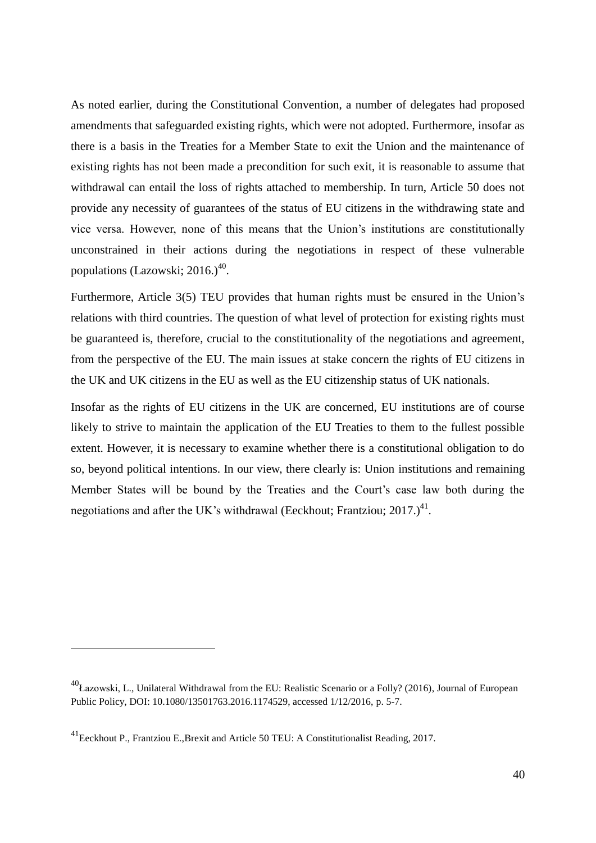As noted earlier, during the Constitutional Convention, a number of delegates had proposed amendments that safeguarded existing rights, which were not adopted. Furthermore, insofar as there is a basis in the Treaties for a Member State to exit the Union and the maintenance of existing rights has not been made a precondition for such exit, it is reasonable to assume that withdrawal can entail the loss of rights attached to membership. In turn, Article 50 does not provide any necessity of guarantees of the status of EU citizens in the withdrawing state and vice versa. However, none of this means that the Union"s institutions are constitutionally unconstrained in their actions during the negotiations in respect of these vulnerable populations (Lazowski;  $2016.$ )<sup>40</sup>.

Furthermore, Article 3(5) TEU provides that human rights must be ensured in the Union's relations with third countries. The question of what level of protection for existing rights must be guaranteed is, therefore, crucial to the constitutionality of the negotiations and agreement, from the perspective of the EU. The main issues at stake concern the rights of EU citizens in the UK and UK citizens in the EU as well as the EU citizenship status of UK nationals.

Insofar as the rights of EU citizens in the UK are concerned, EU institutions are of course likely to strive to maintain the application of the EU Treaties to them to the fullest possible extent. However, it is necessary to examine whether there is a constitutional obligation to do so, beyond political intentions. In our view, there clearly is: Union institutions and remaining Member States will be bound by the Treaties and the Court's case law both during the negotiations and after the UK's withdrawal (Eeckhout; Frantziou; 2017.)<sup>41</sup>.

<u>.</u>

<sup>&</sup>lt;sup>40</sup>Łazowski, L., Unilateral Withdrawal from the EU: Realistic Scenario or a Folly? (2016), Journal of European Public Policy, DOI: 10.1080/13501763.2016.1174529, accessed 1/12/2016, p. 5-7.

 $^{41}$ Eeckhout P., Frantziou E., Brexit and Article 50 TEU: A Constitutionalist Reading, 2017.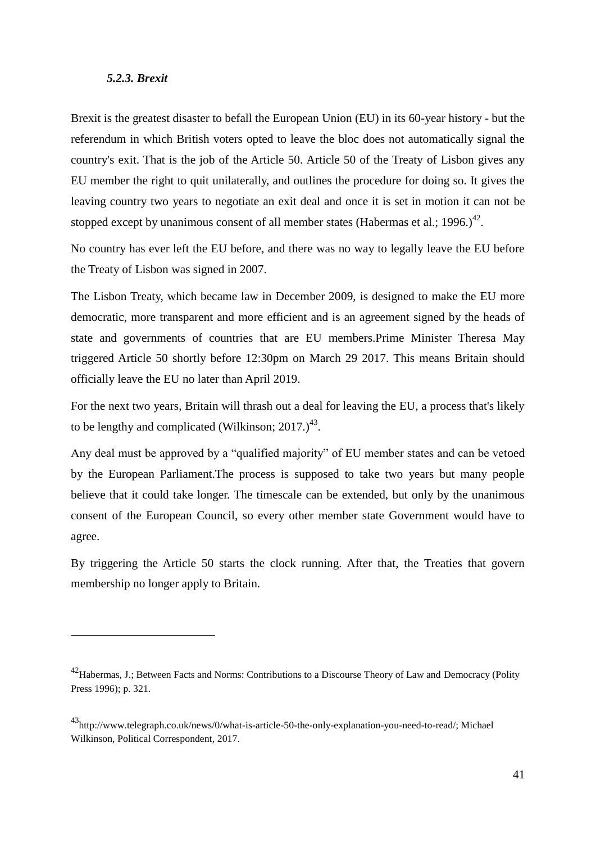#### *5.2.3. Brexit*

<u>.</u>

Brexit is the greatest disaster to befall the European Union (EU) in its 60-year history - but the referendum in which British voters opted to leave the bloc does not automatically signal the country's exit. That is the job of the Article 50. Article 50 of the Treaty of Lisbon gives any EU member the right to quit unilaterally, and outlines the procedure for doing so. It gives the leaving country two years to negotiate an exit deal and once it is set in motion it can not be stopped except by unanimous consent of all member states (Habermas et al.; 1996.)<sup>42</sup>.

No country has ever left the EU before, and there was no way to legally leave the EU before the Treaty of Lisbon was signed in 2007.

The Lisbon Treaty, which became law in December 2009, is designed to make the EU more democratic, more transparent and more efficient and is an agreement signed by the heads of state and governments of countries that are EU members.Prime Minister Theresa May triggered Article 50 shortly before 12:30pm on March 29 2017. This means Britain should officially leave the EU no later than April 2019.

For the next two years, Britain will thrash out a deal for leaving the EU, a process that's likely to be lengthy and complicated (Wilkinson;  $2017$ .)<sup>43</sup>.

Any deal must be approved by a "qualified majority" of EU member states and can be vetoed by the European Parliament.The process is supposed to take two years but many people believe that it could take longer. The timescale can be extended, but only by the unanimous consent of the European Council, so every other member state Government would have to agree.

By triggering the Article 50 starts the clock running. After that, the Treaties that govern membership no longer apply to Britain.

<sup>&</sup>lt;sup>42</sup> Habermas, J.; Between Facts and Norms: Contributions to a Discourse Theory of Law and Democracy (Polity Press 1996); p. 321.

<sup>43</sup>http://www.telegraph.co.uk/news/0/what-is-article-50-the-only-explanation-you-need-to-read/; Michael Wilkinson, Political Correspondent, 2017.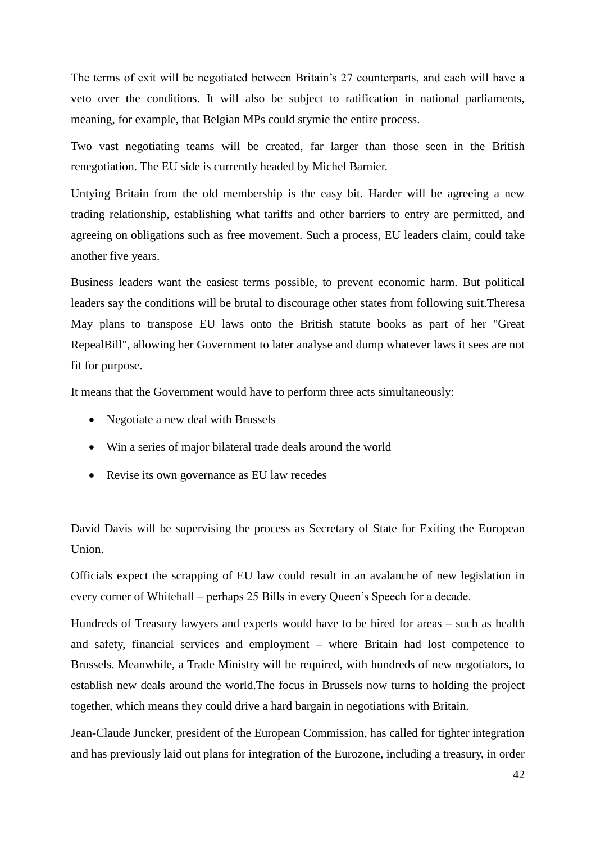The terms of exit will be negotiated between Britain"s 27 counterparts, and each will have a veto over the conditions. It will also be subject to ratification in national parliaments, meaning, for example, that Belgian MPs could stymie the entire process.

Two vast negotiating teams will be created, far larger than those seen in the British renegotiation. The EU side is currently headed by Michel Barnier.

Untying Britain from the old membership is the easy bit. Harder will be agreeing a new trading relationship, establishing what tariffs and other barriers to entry are permitted, and agreeing on obligations such as free movement. Such a process, EU leaders claim, could take another five years.

Business leaders want the easiest terms possible, to prevent economic harm. But political leaders say the conditions will be brutal to discourage other states from following suit.Theresa May plans to transpose EU laws onto the British statute books as part of her "Great RepealBill", allowing her Government to later analyse and dump whatever laws it sees are not fit for purpose.

It means that the Government would have to perform three acts simultaneously:

- Negotiate a new deal with Brussels
- Win a series of major bilateral trade deals around the world
- Revise its own governance as EU law recedes

David Davis will be supervising the process as Secretary of State for Exiting the European Union.

Officials expect the scrapping of EU law could result in an avalanche of new legislation in every corner of Whitehall – perhaps 25 Bills in every Queen"s Speech for a decade.

Hundreds of Treasury lawyers and experts would have to be hired for areas – such as health and safety, financial services and employment – where Britain had lost competence to Brussels. Meanwhile, a Trade Ministry will be required, with hundreds of new negotiators, to establish new deals around the world.The focus in Brussels now turns to holding the project together, which means they could drive a hard bargain in negotiations with Britain.

Jean-Claude Juncker, president of the European Commission, has called for tighter integration and has previously laid out plans for integration of the Eurozone, including a treasury, in order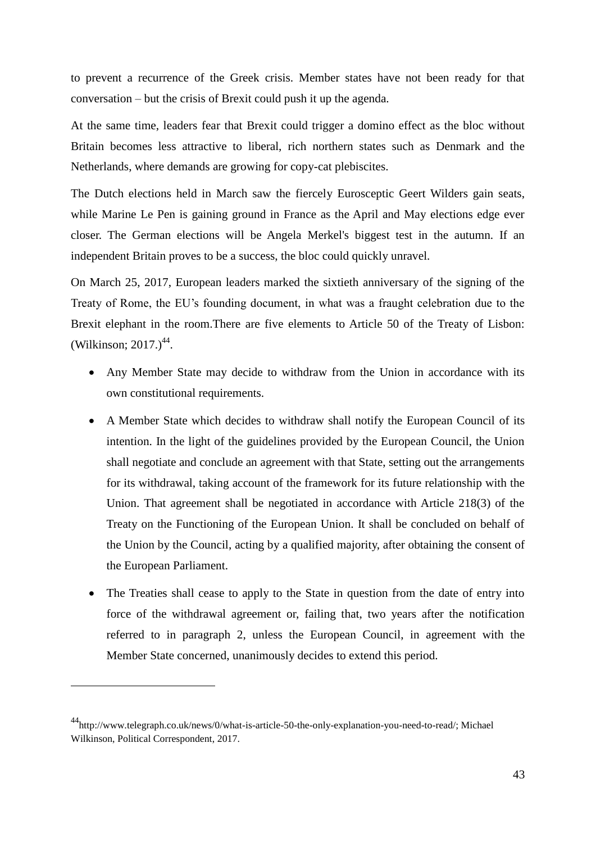to prevent a recurrence of the Greek crisis. Member states have not been ready for that conversation – but the crisis of Brexit could push it up the agenda.

At the same time, leaders fear that Brexit could trigger a domino effect as the bloc without Britain becomes less attractive to liberal, rich northern states such as Denmark and the Netherlands, where demands are growing for copy-cat plebiscites.

The Dutch elections held in March saw the fiercely Eurosceptic Geert Wilders gain seats, while Marine Le Pen is gaining ground in France as the April and May elections edge ever closer. The German elections will be Angela Merkel's biggest test in the autumn. If an independent Britain proves to be a success, the bloc could quickly unravel.

<span id="page-50-0"></span>On March 25, 2017, European leaders marked the sixtieth anniversary of the signing of the Treaty of Rome, the EU"s founding document, in what was a fraught celebration due to the Brexit elephant in the room.There are five elements to Article 50 of the Treaty of Lisbon: (Wilkinson;  $2017.$ )<sup>44</sup>.

- Any Member State may decide to withdraw from the Union in accordance with its own constitutional requirements.
- A Member State which decides to withdraw shall notify the European Council of its intention. In the light of the guidelines provided by the European Council, the Union shall negotiate and conclude an agreement with that State, setting out the arrangements for its withdrawal, taking account of the framework for its future relationship with the Union. That agreement shall be negotiated in accordance with Article 218(3) of the Treaty on the Functioning of the European Union. It shall be concluded on behalf of the Union by the Council, acting by a qualified majority, after obtaining the consent of the European Parliament.
- The Treaties shall cease to apply to the State in question from the date of entry into force of the withdrawal agreement or, failing that, two years after the notification referred to in paragraph 2, unless the European Council, in agreement with the Member State concerned, unanimously decides to extend this period.

<u>.</u>

<sup>44</sup>http://www.telegraph.co.uk/news/0/what-is-article-50-the-only-explanation-you-need-to-read/; Michael Wilkinson, Political Correspondent, 2017.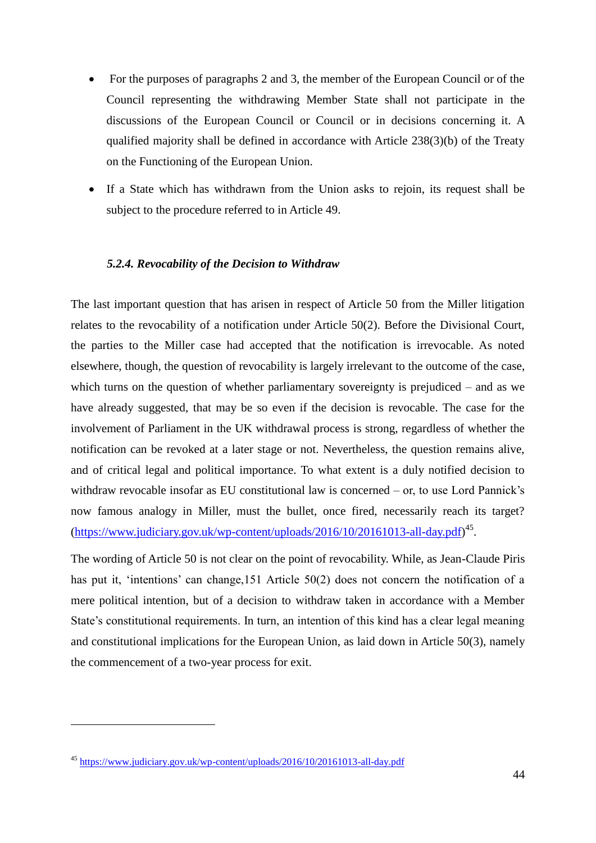- For the purposes of paragraphs 2 and 3, the member of the European Council or of the Council representing the withdrawing Member State shall not participate in the discussions of the European Council or Council or in decisions concerning it. A qualified majority shall be defined in accordance with Article 238(3)(b) of the Treaty on the Functioning of the European Union.
- If a State which has withdrawn from the Union asks to rejoin, its request shall be subject to the procedure referred to in Article 49.

### *5.2.4. Revocability of the Decision to Withdraw*

The last important question that has arisen in respect of Article 50 from the Miller litigation relates to the revocability of a notification under Article 50(2). Before the Divisional Court, the parties to the Miller case had accepted that the notification is irrevocable. As noted elsewhere, though, the question of revocability is largely irrelevant to the outcome of the case, which turns on the question of whether parliamentary sovereignty is prejudiced – and as we have already suggested, that may be so even if the decision is revocable. The case for the involvement of Parliament in the UK withdrawal process is strong, regardless of whether the notification can be revoked at a later stage or not. Nevertheless, the question remains alive, and of critical legal and political importance. To what extent is a duly notified decision to withdraw revocable insofar as EU constitutional law is concerned – or, to use Lord Pannick's now famous analogy in Miller, must the bullet, once fired, necessarily reach its target? [\(https://www.judiciary.gov.uk/wp-content/uploads/2016/10/20161013-all-day.pdf\)](https://www.judiciary.gov.uk/wp-content/uploads/2016/10/20161013-all-day.pdf)<sup>45</sup>.

The wording of Article 50 is not clear on the point of revocability. While, as Jean-Claude Piris has put it, 'intentions' can change,151 Article 50(2) does not concern the notification of a mere political intention, but of a decision to withdraw taken in accordance with a Member State's constitutional requirements. In turn, an intention of this kind has a clear legal meaning and constitutional implications for the European Union, as laid down in Article 50(3), namely the commencement of a two-year process for exit.

<sup>45</sup> <https://www.judiciary.gov.uk/wp-content/uploads/2016/10/20161013-all-day.pdf>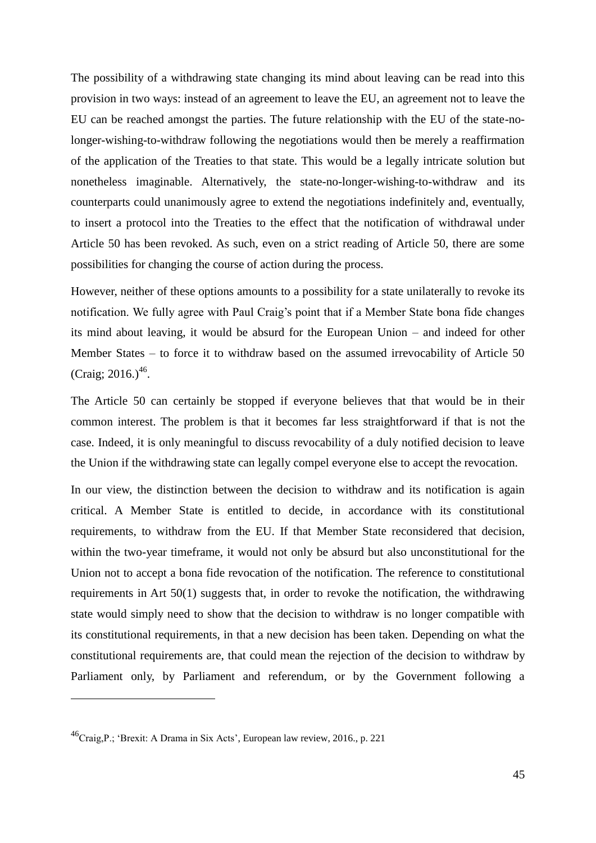The possibility of a withdrawing state changing its mind about leaving can be read into this provision in two ways: instead of an agreement to leave the EU, an agreement not to leave the EU can be reached amongst the parties. The future relationship with the EU of the state-nolonger-wishing-to-withdraw following the negotiations would then be merely a reaffirmation of the application of the Treaties to that state. This would be a legally intricate solution but nonetheless imaginable. Alternatively, the state-no-longer-wishing-to-withdraw and its counterparts could unanimously agree to extend the negotiations indefinitely and, eventually, to insert a protocol into the Treaties to the effect that the notification of withdrawal under Article 50 has been revoked. As such, even on a strict reading of Article 50, there are some possibilities for changing the course of action during the process.

However, neither of these options amounts to a possibility for a state unilaterally to revoke its notification. We fully agree with Paul Craig"s point that if a Member State bona fide changes its mind about leaving, it would be absurd for the European Union – and indeed for other Member States – to force it to withdraw based on the assumed irrevocability of Article 50  $(Craig; 2016.)^{46}$ .

The Article 50 can certainly be stopped if everyone believes that that would be in their common interest. The problem is that it becomes far less straightforward if that is not the case. Indeed, it is only meaningful to discuss revocability of a duly notified decision to leave the Union if the withdrawing state can legally compel everyone else to accept the revocation.

In our view, the distinction between the decision to withdraw and its notification is again critical. A Member State is entitled to decide, in accordance with its constitutional requirements, to withdraw from the EU. If that Member State reconsidered that decision, within the two-year timeframe, it would not only be absurd but also unconstitutional for the Union not to accept a bona fide revocation of the notification. The reference to constitutional requirements in Art 50(1) suggests that, in order to revoke the notification, the withdrawing state would simply need to show that the decision to withdraw is no longer compatible with its constitutional requirements, in that a new decision has been taken. Depending on what the constitutional requirements are, that could mean the rejection of the decision to withdraw by Parliament only, by Parliament and referendum, or by the Government following a

 $^{46}$ Craig, P.; 'Brexit: A Drama in Six Acts', European law review, 2016., p. 221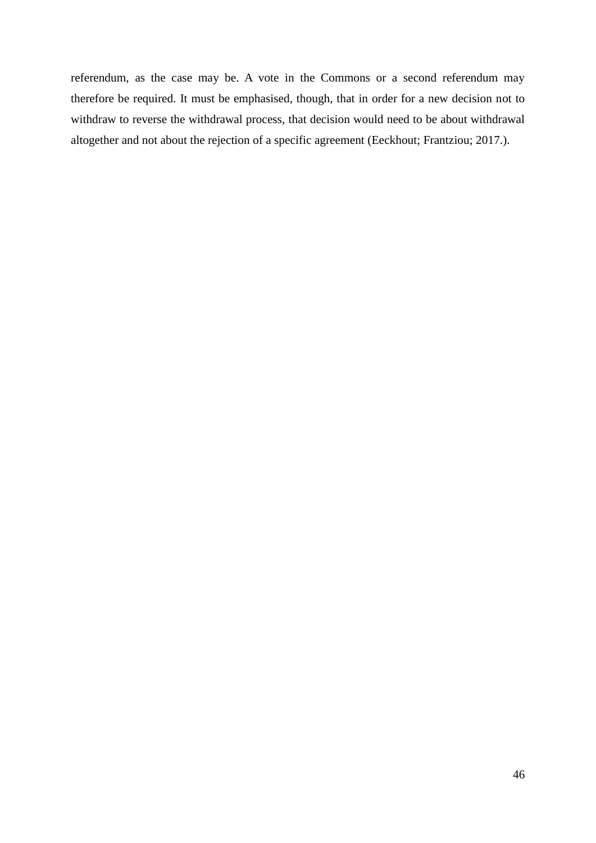<span id="page-53-0"></span>referendum, as the case may be. A vote in the Commons or a second referendum may therefore be required. It must be emphasised, though, that in order for a new decision not to withdraw to reverse the withdrawal process, that decision would need to be about withdrawal altogether and not about the rejection of a specific agreement (Eeckhout; Frantziou; 2017.).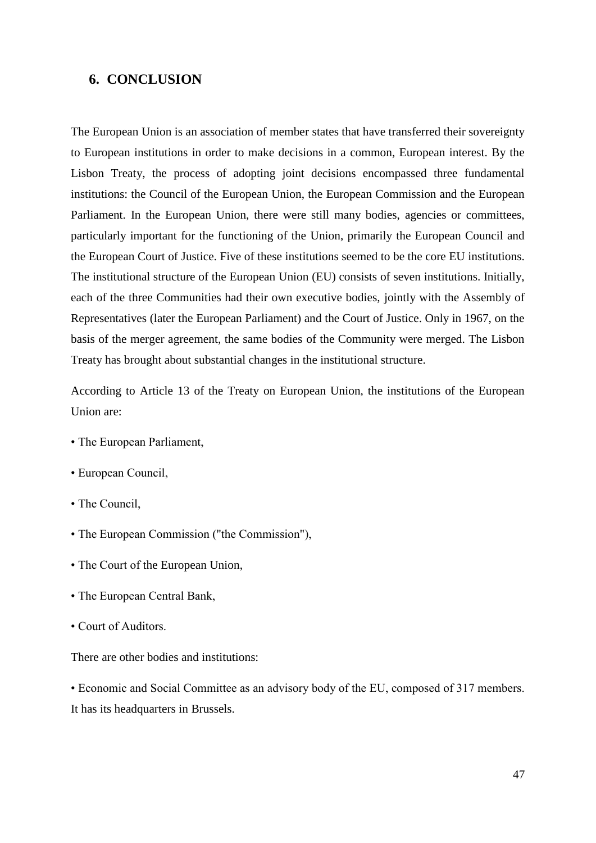# **6. CONCLUSION**

The European Union is an association of member states that have transferred their sovereignty to European institutions in order to make decisions in a common, European interest. By the Lisbon Treaty, the process of adopting joint decisions encompassed three fundamental institutions: the Council of the European Union, the European Commission and the European Parliament. In the European Union, there were still many bodies, agencies or committees, particularly important for the functioning of the Union, primarily the European Council and the European Court of Justice. Five of these institutions seemed to be the core EU institutions. The institutional structure of the European Union (EU) consists of seven institutions. Initially, each of the three Communities had their own executive bodies, jointly with the Assembly of Representatives (later the European Parliament) and the Court of Justice. Only in 1967, on the basis of the merger agreement, the same bodies of the Community were merged. The Lisbon Treaty has brought about substantial changes in the institutional structure.

According to Article 13 of the Treaty on European Union, the institutions of the European Union are:

- The European Parliament,
- European Council,
- The Council,
- The European Commission ("the Commission"),
- The Court of the European Union,
- The European Central Bank,
- Court of Auditors.

There are other bodies and institutions:

• Economic and Social Committee as an advisory body of the EU, composed of 317 members. It has its headquarters in Brussels.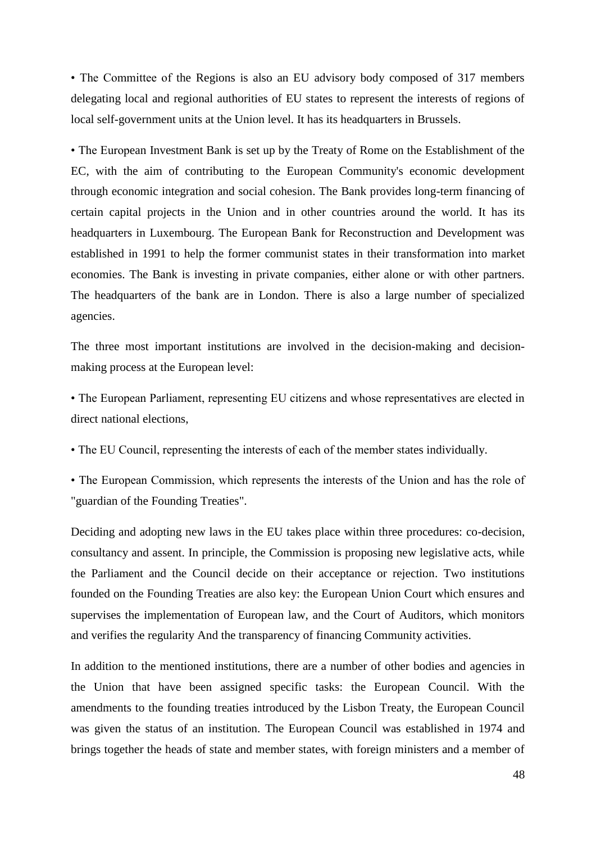• The Committee of the Regions is also an EU advisory body composed of 317 members delegating local and regional authorities of EU states to represent the interests of regions of local self-government units at the Union level. It has its headquarters in Brussels.

• The European Investment Bank is set up by the Treaty of Rome on the Establishment of the EC, with the aim of contributing to the European Community's economic development through economic integration and social cohesion. The Bank provides long-term financing of certain capital projects in the Union and in other countries around the world. It has its headquarters in Luxembourg. The European Bank for Reconstruction and Development was established in 1991 to help the former communist states in their transformation into market economies. The Bank is investing in private companies, either alone or with other partners. The headquarters of the bank are in London. There is also a large number of specialized agencies.

The three most important institutions are involved in the decision-making and decisionmaking process at the European level:

• The European Parliament, representing EU citizens and whose representatives are elected in direct national elections,

• The EU Council, representing the interests of each of the member states individually.

• The European Commission, which represents the interests of the Union and has the role of "guardian of the Founding Treaties".

Deciding and adopting new laws in the EU takes place within three procedures: co-decision, consultancy and assent. In principle, the Commission is proposing new legislative acts, while the Parliament and the Council decide on their acceptance or rejection. Two institutions founded on the Founding Treaties are also key: the European Union Court which ensures and supervises the implementation of European law, and the Court of Auditors, which monitors and verifies the regularity And the transparency of financing Community activities.

In addition to the mentioned institutions, there are a number of other bodies and agencies in the Union that have been assigned specific tasks: the European Council. With the amendments to the founding treaties introduced by the Lisbon Treaty, the European Council was given the status of an institution. The European Council was established in 1974 and brings together the heads of state and member states, with foreign ministers and a member of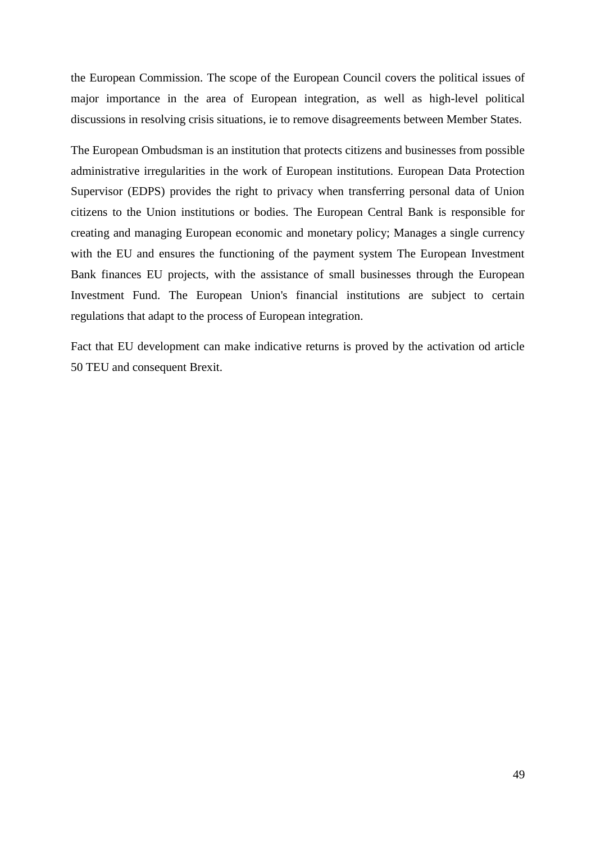the European Commission. The scope of the European Council covers the political issues of major importance in the area of European integration, as well as high-level political discussions in resolving crisis situations, ie to remove disagreements between Member States.

The European Ombudsman is an institution that protects citizens and businesses from possible administrative irregularities in the work of European institutions. European Data Protection Supervisor (EDPS) provides the right to privacy when transferring personal data of Union citizens to the Union institutions or bodies. The European Central Bank is responsible for creating and managing European economic and monetary policy; Manages a single currency with the EU and ensures the functioning of the payment system The European Investment Bank finances EU projects, with the assistance of small businesses through the European Investment Fund. The European Union's financial institutions are subject to certain regulations that adapt to the process of European integration.

Fact that EU development can make indicative returns is proved by the activation od article 50 TEU and consequent Brexit.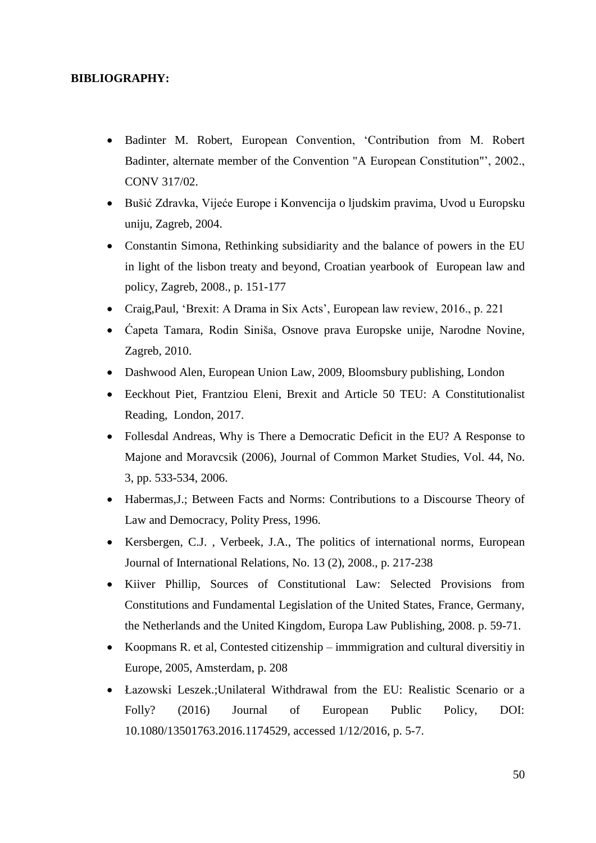### **BIBLIOGRAPHY:**

- Badinter M. Robert, European Convention, "Contribution from M. Robert Badinter, alternate member of the Convention "A European Constitution"", 2002., CONV 317/02.
- Bušić Zdravka, Vijeće Europe i Konvencija o ljudskim pravima, Uvod u Europsku uniju, Zagreb, 2004.
- Constantin Simona, Rethinking subsidiarity and the balance of powers in the EU in light of the lisbon treaty and beyond, Croatian yearbook of European law and policy, Zagreb, 2008., p. 151-177
- Craig, Paul, 'Brexit: A Drama in Six Acts', European law review, 2016., p. 221
- Ćapeta Tamara, Rodin Siniša, Osnove prava Europske unije, Narodne Novine, Zagreb, 2010.
- Dashwood Alen, European Union Law, 2009, Bloomsbury publishing, London
- Eeckhout Piet, Frantziou Eleni, Brexit and Article 50 TEU: A Constitutionalist Reading, London, 2017.
- Follesdal Andreas, Why is There a Democratic Deficit in the EU? A Response to Majone and Moravcsik (2006), Journal of Common Market Studies, Vol. 44, No. 3, pp. 533-534, 2006.
- Habermas,J.; Between Facts and Norms: Contributions to a Discourse Theory of Law and Democracy, Polity Press, 1996.
- Kersbergen, C.J., Verbeek, J.A., The politics of international norms, European Journal of International Relations, No. 13 (2), 2008., p. 217-238
- Kiiver Phillip, Sources of Constitutional Law: Selected Provisions from Constitutions and Fundamental Legislation of the United States, France, Germany, the Netherlands and the United Kingdom, Europa Law Publishing, 2008. p. 59-71.
- Koopmans R. et al, Contested citizenship immmigration and cultural diversitiy in Europe, 2005, Amsterdam, p. 208
- Łazowski Leszek.;Unilateral Withdrawal from the EU: Realistic Scenario or a Folly? (2016) Journal of European Public Policy, DOI: 10.1080/13501763.2016.1174529, accessed 1/12/2016, p. 5-7.